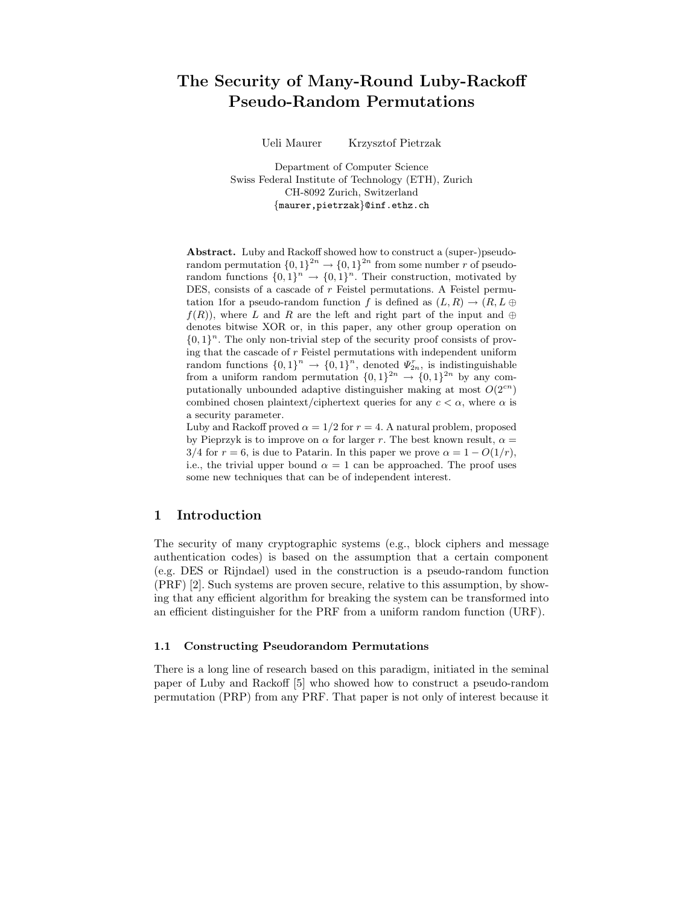# The Security of Many-Round Luby-Rackoff Pseudo-Random Permutations

Ueli Maurer Krzysztof Pietrzak

Department of Computer Science Swiss Federal Institute of Technology (ETH), Zurich CH-8092 Zurich, Switzerland {maurer,pietrzak}@inf.ethz.ch

Abstract. Luby and Rackoff showed how to construct a (super-)pseudorandom permutation  $\{0,1\}^{2n} \to \{0,1\}^{2n}$  from some number r of pseudorandom functions  $\{0,1\}^n \to \{0,1\}^n$ . Their construction, motivated by DES, consists of a cascade of  $r$  Feistel permutations. A Feistel permutation 1for a pseudo-random function f is defined as  $(L, R) \rightarrow (R, L \oplus R)$  $f(R)$ , where L and R are the left and right part of the input and  $\oplus$ denotes bitwise XOR or, in this paper, any other group operation on  $\{0,1\}^n$ . The only non-trivial step of the security proof consists of proving that the cascade of  $r$  Feistel permutations with independent uniform random functions  $\{0,1\}^n \to \{0,1\}^n$ , denoted  $\Psi_{2n}^r$ , is indistinguishable from a uniform random permutation  $\{0,1\}^{2n} \to \{0,1\}^{2n}$  by any computationally unbounded adaptive distinguisher making at most  $O(2^{cn})$ combined chosen plaintext/ciphertext queries for any  $c < \alpha$ , where  $\alpha$  is a security parameter.

Luby and Rackoff proved  $\alpha = 1/2$  for  $r = 4$ . A natural problem, proposed by Pieprzyk is to improve on  $\alpha$  for larger r. The best known result,  $\alpha =$  $3/4$  for  $r = 6$ , is due to Patarin. In this paper we prove  $\alpha = 1 - O(1/r)$ , i.e., the trivial upper bound  $\alpha = 1$  can be approached. The proof uses some new techniques that can be of independent interest.

# 1 Introduction

The security of many cryptographic systems (e.g., block ciphers and message authentication codes) is based on the assumption that a certain component (e.g. DES or Rijndael) used in the construction is a pseudo-random function (PRF) [2]. Such systems are proven secure, relative to this assumption, by showing that any efficient algorithm for breaking the system can be transformed into an efficient distinguisher for the PRF from a uniform random function (URF).

#### 1.1 Constructing Pseudorandom Permutations

There is a long line of research based on this paradigm, initiated in the seminal paper of Luby and Rackoff [5] who showed how to construct a pseudo-random permutation (PRP) from any PRF. That paper is not only of interest because it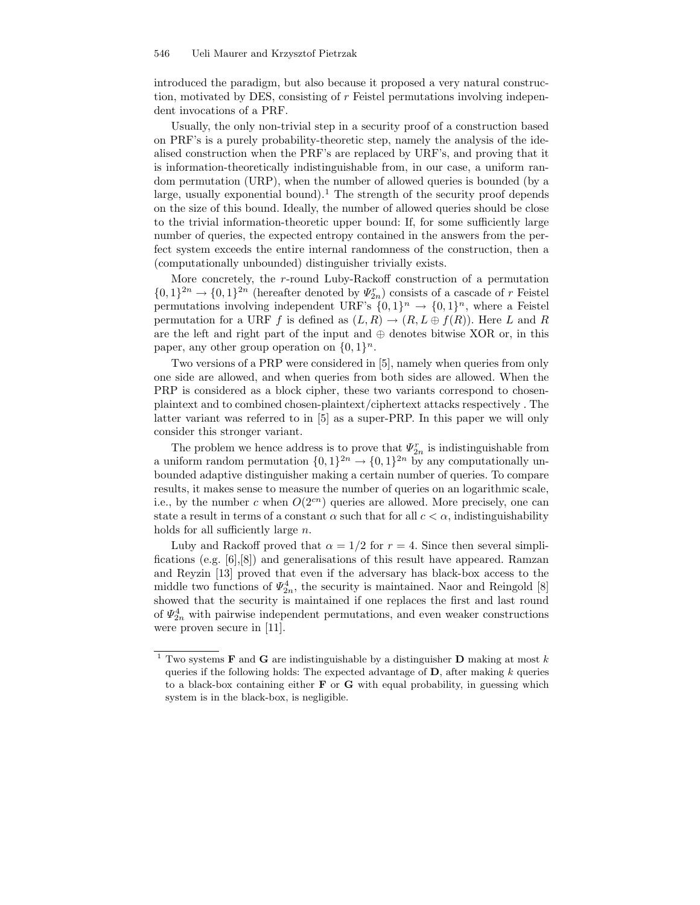introduced the paradigm, but also because it proposed a very natural construction, motivated by DES, consisting of r Feistel permutations involving independent invocations of a PRF.

Usually, the only non-trivial step in a security proof of a construction based on PRF's is a purely probability-theoretic step, namely the analysis of the idealised construction when the PRF's are replaced by URF's, and proving that it is information-theoretically indistinguishable from, in our case, a uniform random permutation (URP), when the number of allowed queries is bounded (by a large, usually exponential bound).<sup>1</sup> The strength of the security proof depends on the size of this bound. Ideally, the number of allowed queries should be close to the trivial information-theoretic upper bound: If, for some sufficiently large number of queries, the expected entropy contained in the answers from the perfect system exceeds the entire internal randomness of the construction, then a (computationally unbounded) distinguisher trivially exists.

More concretely, the r-round Luby-Rackoff construction of a permutation  $\{0,1\}^{2n} \rightarrow \{0,1\}^{2n}$  (hereafter denoted by  $\Psi_{2n}^r$ ) consists of a cascade of r Feistel permutations involving independent URF's  $\{0,1\}^n \to \{0,1\}^n$ , where a Feistel permutation for a URF f is defined as  $(L, R) \rightarrow (R, L \oplus f(R))$ . Here L and R are the left and right part of the input and  $oplus$  denotes bitwise XOR or, in this paper, any other group operation on  $\{0, 1\}^n$ .

Two versions of a PRP were considered in [5], namely when queries from only one side are allowed, and when queries from both sides are allowed. When the PRP is considered as a block cipher, these two variants correspond to chosenplaintext and to combined chosen-plaintext/ciphertext attacks respectively . The latter variant was referred to in [5] as a super-PRP. In this paper we will only consider this stronger variant.

The problem we hence address is to prove that  $\Psi_{2n}^r$  is indistinguishable from a uniform random permutation  $\{0,1\}^{2n} \to \{0,1\}^{2n}$  by any computationally unbounded adaptive distinguisher making a certain number of queries. To compare results, it makes sense to measure the number of queries on an logarithmic scale, i.e., by the number c when  $O(2^{cn})$  queries are allowed. More precisely, one can state a result in terms of a constant  $\alpha$  such that for all  $c < \alpha$ , indistinguishability holds for all sufficiently large  $n$ .

Luby and Rackoff proved that  $\alpha = 1/2$  for  $r = 4$ . Since then several simplifications (e.g. [6],[8]) and generalisations of this result have appeared. Ramzan and Reyzin [13] proved that even if the adversary has black-box access to the middle two functions of  $\Psi_{2n}^4$ , the security is maintained. Naor and Reingold [8] showed that the security is maintained if one replaces the first and last round of  $\Psi_{2n}^4$  with pairwise independent permutations, and even weaker constructions were proven secure in [11].

 $^1$  Two systems  ${\bf F}$  and  ${\bf G}$  are indistinguishable by a distinguisher  ${\bf D}$  making at most  $k$ queries if the following holds: The expected advantage of  $D$ , after making k queries to a black-box containing either  $\bf{F}$  or  $\bf{G}$  with equal probability, in guessing which system is in the black-box, is negligible.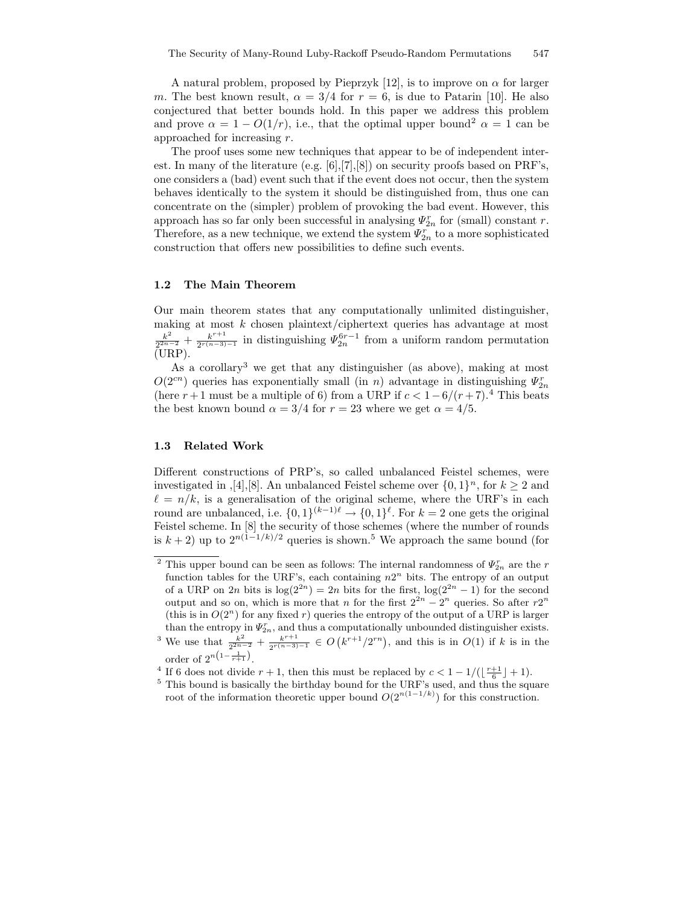A natural problem, proposed by Pieprzyk [12], is to improve on  $\alpha$  for larger m. The best known result,  $\alpha = 3/4$  for  $r = 6$ , is due to Patarin [10]. He also conjectured that better bounds hold. In this paper we address this problem and prove  $\alpha = 1 - O(1/r)$ , i.e., that the optimal upper bound<sup>2</sup>  $\alpha = 1$  can be approached for increasing r.

The proof uses some new techniques that appear to be of independent interest. In many of the literature (e.g. [6],[7],[8]) on security proofs based on PRF's, one considers a (bad) event such that if the event does not occur, then the system behaves identically to the system it should be distinguished from, thus one can concentrate on the (simpler) problem of provoking the bad event. However, this approach has so far only been successful in analysing  $\Psi_{2n}^r$  for (small) constant r. Therefore, as a new technique, we extend the system  $\varPsi^r_{2n}$  to a more sophisticated construction that offers new possibilities to define such events.

### 1.2 The Main Theorem

Our main theorem states that any computationally unlimited distinguisher, making at most  $k$  chosen plaintext/ciphertext queries has advantage at most  $k^2$  $\frac{k^2}{2^{2n-2}}+\frac{k^{r+1}}{2^{r(n-3)}}$  $\frac{k^{r+1}}{2^{r(n-3)-1}}$  in distinguishing  $\Psi_{2n}^{6r-1}$  from a uniform random permutation  $(URP)$ .

As a corollary<sup>3</sup> we get that any distinguisher (as above), making at most  $O(2^{cn})$  queries has exponentially small (in n) advantage in distinguishing  $\varPsi_{2n}^r$ (here  $r+1$  must be a multiple of 6) from a URP if  $c < 1-6/(r+7)$ .<sup>4</sup> This beats the best known bound  $\alpha = 3/4$  for  $r = 23$  where we get  $\alpha = 4/5$ .

# 1.3 Related Work

Different constructions of PRP's, so called unbalanced Feistel schemes, were investigated in , [4], [8]. An unbalanced Feistel scheme over  $\{0, 1\}^n$ , for  $k \geq 2$  and  $\ell = n/k$ , is a generalisation of the original scheme, where the URF's in each round are unbalanced, i.e.  $\{0,1\}^{(k-1)\ell} \to \{0,1\}^{\ell}$ . For  $k = 2$  one gets the original Feistel scheme. In [8] the security of those schemes (where the number of rounds is  $k + 2$ ) up to  $2^{n(1-1/k)/2}$  queries is shown.<sup>5</sup> We approach the same bound (for

<sup>&</sup>lt;sup>2</sup> This upper bound can be seen as follows: The internal randomness of  $\Psi_{2n}^r$  are the r function tables for the URF's, each containing  $n2^n$  bits. The entropy of an output of a URP on  $2n$  bits is  $log(2^{2n}) = 2n$  bits for the first,  $log(2^{2n} - 1)$  for the second output and so on, which is more that n for the first  $2^{2n} - 2^n$  queries. So after  $r2^n$ (this is in  $O(2^n)$  for any fixed r) queries the entropy of the output of a URP is larger than the entropy in  $\Psi_{2n}^r$ , and thus a computationally unbounded distinguisher exists.

<sup>&</sup>lt;sup>3</sup> We use that  $\frac{k^2}{2^{2n-2}} + \frac{k^{r+1}}{2^{r(n-3)}}$  $\frac{k^{r+1}}{2^{r(n-3)-1}} \in O(k^{r+1}/2^{rn})$ , and this is in  $O(1)$  if k is in the order of  $2^{n(1-\frac{1}{r+1})}$ .

<sup>&</sup>lt;sup>4</sup> If 6 does not divide  $r + 1$ , then this must be replaced by  $c < 1 - 1/(\lfloor \frac{r+1}{6} \rfloor + 1)$ .

<sup>&</sup>lt;sup>5</sup> This bound is basically the birthday bound for the URF's used, and thus the square root of the information theoretic upper bound  $O(2^{n(1-1/k)})$  for this construction.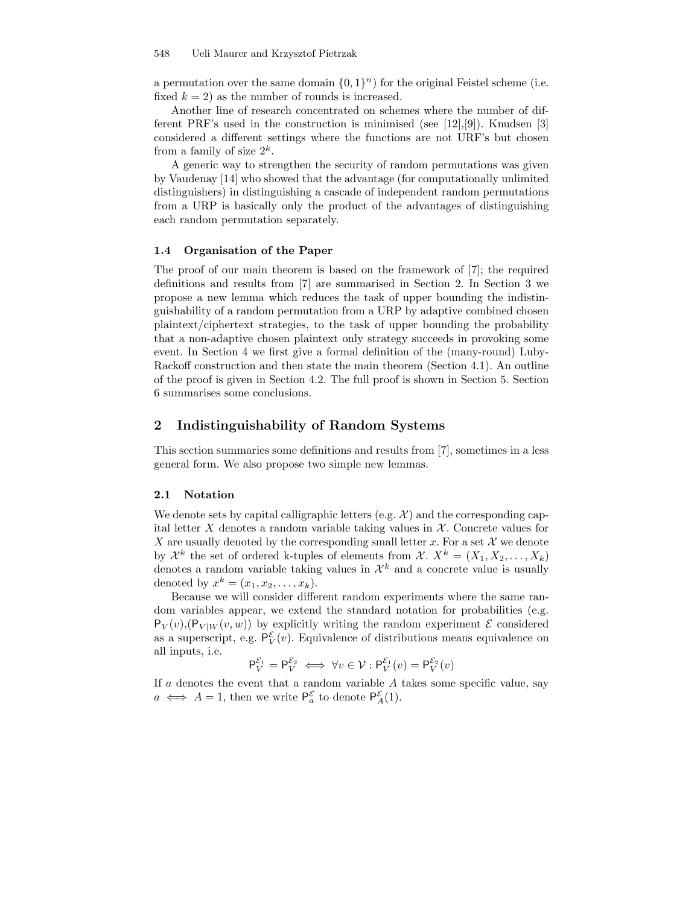a permutation over the same domain  $\{0,1\}^n$  for the original Feistel scheme (i.e. fixed  $k = 2$ ) as the number of rounds is increased.

Another line of research concentrated on schemes where the number of different PRF's used in the construction is minimised (see  $[12],[9]$ ). Knudsen  $[3]$ considered a different settings where the functions are not URF's but chosen from a family of size  $2^k$ .

A generic way to strengthen the security of random permutations was given by Vaudenay [14] who showed that the advantage (for computationally unlimited distinguishers) in distinguishing a cascade of independent random permutations from a URP is basically only the product of the advantages of distinguishing each random permutation separately.

# 1.4 Organisation of the Paper

The proof of our main theorem is based on the framework of [7]; the required definitions and results from [7] are summarised in Section 2. In Section 3 we propose a new lemma which reduces the task of upper bounding the indistinguishability of a random permutation from a URP by adaptive combined chosen plaintext/ciphertext strategies, to the task of upper bounding the probability that a non-adaptive chosen plaintext only strategy succeeds in provoking some event. In Section 4 we first give a formal definition of the (many-round) Luby-Rackoff construction and then state the main theorem (Section 4.1). An outline of the proof is given in Section 4.2. The full proof is shown in Section 5. Section 6 summarises some conclusions.

# 2 Indistinguishability of Random Systems

This section summaries some definitions and results from [7], sometimes in a less general form. We also propose two simple new lemmas.

### 2.1 Notation

We denote sets by capital calligraphic letters (e.g.  $\mathcal{X}$ ) and the corresponding capital letter  $X$  denotes a random variable taking values in  $X$ . Concrete values for X are usually denoted by the corresponding small letter x. For a set  $\mathcal X$  we denote by  $\mathcal{X}^k$  the set of ordered k-tuples of elements from  $\mathcal{X}$ .  $X^k = (X_1, X_2, \ldots, X_k)$ denotes a random variable taking values in  $\mathcal{X}^k$  and a concrete value is usually denoted by  $x^k = (x_1, x_2, \ldots, x_k)$ .

Because we will consider different random experiments where the same random variables appear, we extend the standard notation for probabilities (e.g.  $P_V(v)$ ,  $(P_{V|W}(v, w))$  by explicitly writing the random experiment  $\mathcal E$  considered as a superscript, e.g.  $P_V^{\mathcal{E}}(v)$ . Equivalence of distributions means equivalence on all inputs, i.e.

$$
\mathsf{P}_V^{\mathcal{E}_1} = \mathsf{P}_V^{\mathcal{E}_2} \iff \forall v \in \mathcal{V} : \mathsf{P}_V^{\mathcal{E}_1}(v) = \mathsf{P}_V^{\mathcal{E}_2}(v)
$$

If  $a$  denotes the event that a random variable  $A$  takes some specific value, say  $a \iff A = 1$ , then we write  $P_a^{\mathcal{E}}$  to denote  $P_A^{\mathcal{E}}(1)$ .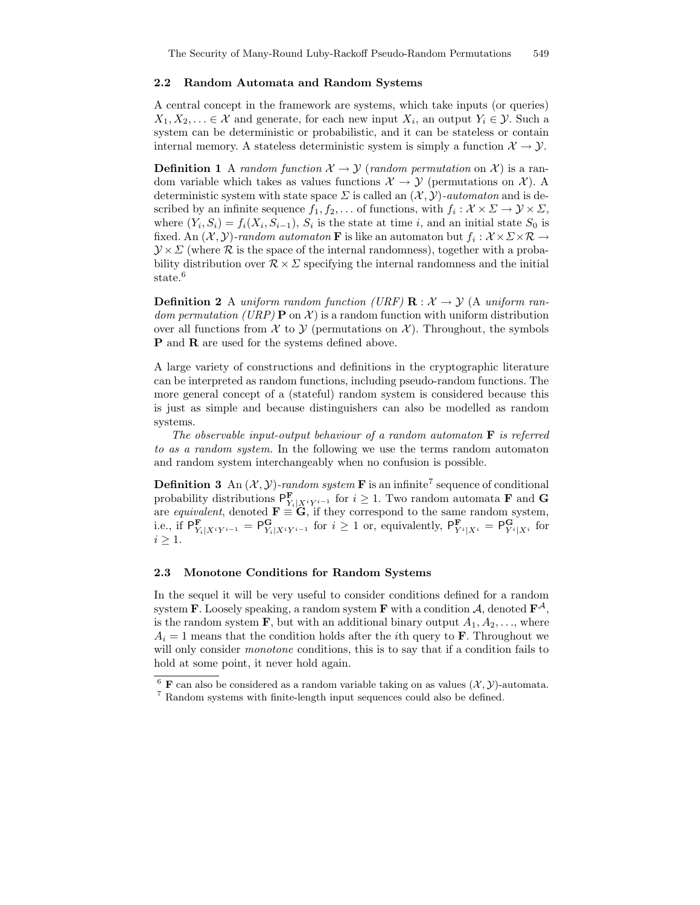#### 2.2 Random Automata and Random Systems

A central concept in the framework are systems, which take inputs (or queries)  $X_1, X_2, \ldots \in \mathcal{X}$  and generate, for each new input  $X_i$ , an output  $Y_i \in \mathcal{Y}$ . Such a system can be deterministic or probabilistic, and it can be stateless or contain internal memory. A stateless deterministic system is simply a function  $\mathcal{X} \to \mathcal{Y}$ .

**Definition 1** A random function  $X \to Y$  (random permutation on X) is a random variable which takes as values functions  $\mathcal{X} \to \mathcal{Y}$  (permutations on X). A deterministic system with state space  $\Sigma$  is called an  $(\mathcal{X}, \mathcal{Y})$ -automaton and is described by an infinite sequence  $f_1, f_2, \ldots$  of functions, with  $f_i: \mathcal{X} \times \Sigma \to \mathcal{Y} \times \Sigma$ , where  $(Y_i, S_i) = f_i(X_i, S_{i-1}), S_i$  is the state at time i, and an initial state  $S_0$  is fixed. An  $(\mathcal{X}, \mathcal{Y})$ -random automaton **F** is like an automaton but  $f_i: \mathcal{X} \times \Sigma \times \mathcal{R} \to$  $\mathcal{Y} \times \mathcal{Z}$  (where  $\mathcal R$  is the space of the internal randomness), together with a probability distribution over  $\mathcal{R} \times \Sigma$  specifying the internal randomness and the initial state.<sup>6</sup>

**Definition 2** A uniform random function (URF)  $\mathbf{R} : \mathcal{X} \to \mathcal{Y}$  (A uniform random permutation (URP)  $\mathbf{P}$  on  $\mathcal{X}$ ) is a random function with uniform distribution over all functions from  $\mathcal X$  to  $\mathcal Y$  (permutations on  $\mathcal X$ ). Throughout, the symbols **P** and **R** are used for the systems defined above.

A large variety of constructions and definitions in the cryptographic literature can be interpreted as random functions, including pseudo-random functions. The more general concept of a (stateful) random system is considered because this is just as simple and because distinguishers can also be modelled as random systems.

The observable input-output behaviour of a random automaton  $\bf{F}$  is referred to as a random system. In the following we use the terms random automaton and random system interchangeably when no confusion is possible.

**Definition 3** An  $(\mathcal{X}, \mathcal{Y})$ -random system **F** is an infinite<sup>7</sup> sequence of conditional probability distributions  $\mathsf{P}^{\mathbf{F}}_{Y_i|X^iY^{i-1}}$  for  $i \geq 1$ . Two random automata **F** and **G** are equivalent, denoted  $\mathbf{F} \equiv \mathbf{G}$ , if they correspond to the same random system, i.e., if  $P^{\mathbf{F}}_{Y_i|X^iY^{i-1}} = P^{\mathbf{G}}_{Y_i|X^iY^{i-1}}$  for  $i \geq 1$  or, equivalently,  $P^{\mathbf{F}}_{Y^i|X^i} = P^{\mathbf{G}}_{Y^i|X^i}$  for  $i \geq 1$ .

#### 2.3 Monotone Conditions for Random Systems

In the sequel it will be very useful to consider conditions defined for a random system **F**. Loosely speaking, a random system **F** with a condition A, denoted  $\mathbf{F}^{\mathcal{A}}$ , is the random system **F**, but with an additional binary output  $A_1, A_2, \ldots$ , where  $A_i = 1$  means that the condition holds after the *i*th query to **F**. Throughout we will only consider *monotone* conditions, this is to say that if a condition fails to hold at some point, it never hold again.

<sup>&</sup>lt;sup>6</sup> **F** can also be considered as a random variable taking on as values  $(\mathcal{X}, \mathcal{Y})$ -automata. <sup>7</sup> Random systems with finite-length input sequences could also be defined.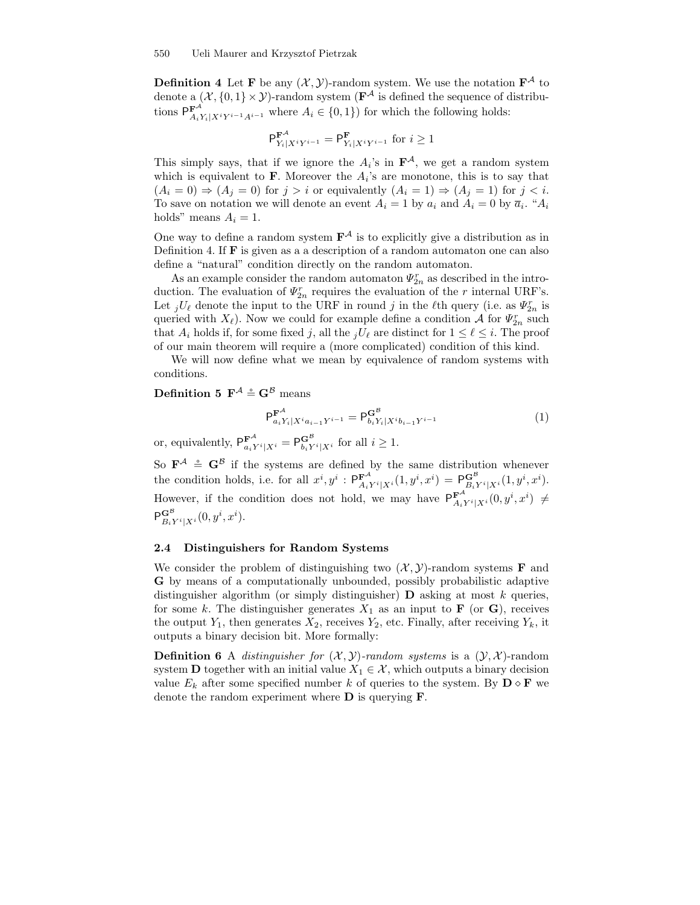**Definition 4** Let **F** be any  $(X, Y)$ -random system. We use the notation  $\mathbf{F}^{\mathcal{A}}$  to denote a  $(\mathcal{X}, \{0,1\} \times \mathcal{Y})$ -random system ( $\mathbf{F}^{\mathcal{A}}$  is defined the sequence of distributions  $P_{A_iY_i|X^iY^{i-1}A^{i-1}}^{\mathbf{F}^A}$  where  $A_i \in \{0,1\}$  for which the following holds:

$$
\mathsf{P}^{\mathbf{F}^{\mathcal{A}}}_{Y_i|X^iY^{i-1}} = \mathsf{P}^{\mathbf{F}}_{Y_i|X^iY^{i-1}} \text{ for } i \ge 1
$$

This simply says, that if we ignore the  $A_i$ 's in  $\mathbf{F}^{\mathcal{A}}$ , we get a random system which is equivalent to  $\bf{F}$ . Moreover the  $A_i$ 's are monotone, this is to say that  $(A_i = 0) \Rightarrow (A_j = 0)$  for  $j > i$  or equivalently  $(A_i = 1) \Rightarrow (A_j = 1)$  for  $j < i$ . To save on notation we will denote an event  $A_i = 1$  by  $a_i$  and  $A_i = 0$  by  $\overline{a}_i$ . " $A_i$ holds" means  $A_i = 1$ .

One way to define a random system  $\mathbf{F}^{\mathcal{A}}$  is to explicitly give a distribution as in Definition 4. If  $F$  is given as a a description of a random automaton one can also define a "natural" condition directly on the random automaton.

As an example consider the random automaton  $\Psi_{2n}^r$  as described in the introduction. The evaluation of  $\varPsi_{2n}^r$  requires the evaluation of the r internal URF's. Let  $jU_{\ell}$  denote the input to the URF in round j in the  $\ell$ th query (i.e. as  $\Psi_{2n}^{r}$  is queried with  $X_{\ell}$ ). Now we could for example define a condition A for  $\Psi_{2n}^{r}$  such that  $A_i$  holds if, for some fixed j, all the  $jU_\ell$  are distinct for  $1 \leq \ell \leq i$ . The proof of our main theorem will require a (more complicated) condition of this kind.

We will now define what we mean by equivalence of random systems with conditions.

# Definition 5  $\mathbf{F}^{\mathcal{A}} \stackrel{\circ}{=} \mathbf{G}^{\mathcal{B}}$  means

$$
P_{a_i Y_i | X^i a_{i-1} Y^{i-1}}^{\mathbf{F}^{\mathcal{A}}} = P_{b_i Y_i | X^i b_{i-1} Y^{i-1}}^{\mathbf{G}^{\mathcal{B}}} \tag{1}
$$

or, equivalently,  $P_{a_iY^i|X^i}^{\mathbf{F}^{\mathcal{A}}} = P_{b_iY^i|X^i}^{\mathbf{G}^{\mathcal{B}}}$  for all  $i \geq 1$ .

So  $\mathbf{F}^{\mathcal{A}} \triangleq \mathbf{G}^{\mathcal{B}}$  if the systems are defined by the same distribution whenever the condition holds, i.e. for all  $x^i, y^i : \mathsf{P}^{\mathbf{F}^{\mathcal{A}}}_{A_i Y^i | X^i}(1, y^i, x^i) = \mathsf{P}^{\mathbf{G}^{\mathcal{B}}}_{B_i Y^i | X^i}(1, y^i, x^i)$ . However, if the condition does not hold, we may have  $P_{A_iY^i|X^i}^{\mathbf{F}^{\mathcal{A}}}(0, y^i, x^i) \neq$  $\mathsf{P}^{\mathbf{G}^{\mathcal{B}}}_{B_i Y^i | X^i}(0, y^i, x^i).$ 

# 2.4 Distinguishers for Random Systems

We consider the problem of distinguishing two  $(\mathcal{X}, \mathcal{Y})$ -random systems **F** and G by means of a computationally unbounded, possibly probabilistic adaptive distinguisher algorithm (or simply distinguisher)  $\bf{D}$  asking at most k queries, for some k. The distinguisher generates  $X_1$  as an input to **F** (or **G**), receives the output  $Y_1$ , then generates  $X_2$ , receives  $Y_2$ , etc. Finally, after receiving  $Y_k$ , it outputs a binary decision bit. More formally:

**Definition 6** A *distinguisher for*  $(\mathcal{X}, \mathcal{Y})$ -random systems is a  $(\mathcal{Y}, \mathcal{X})$ -random system **D** together with an initial value  $X_1 \in \mathcal{X}$ , which outputs a binary decision value  $E_k$  after some specified number k of queries to the system. By  $\mathbf{D} \diamond \mathbf{F}$  we denote the random experiment where D is querying F.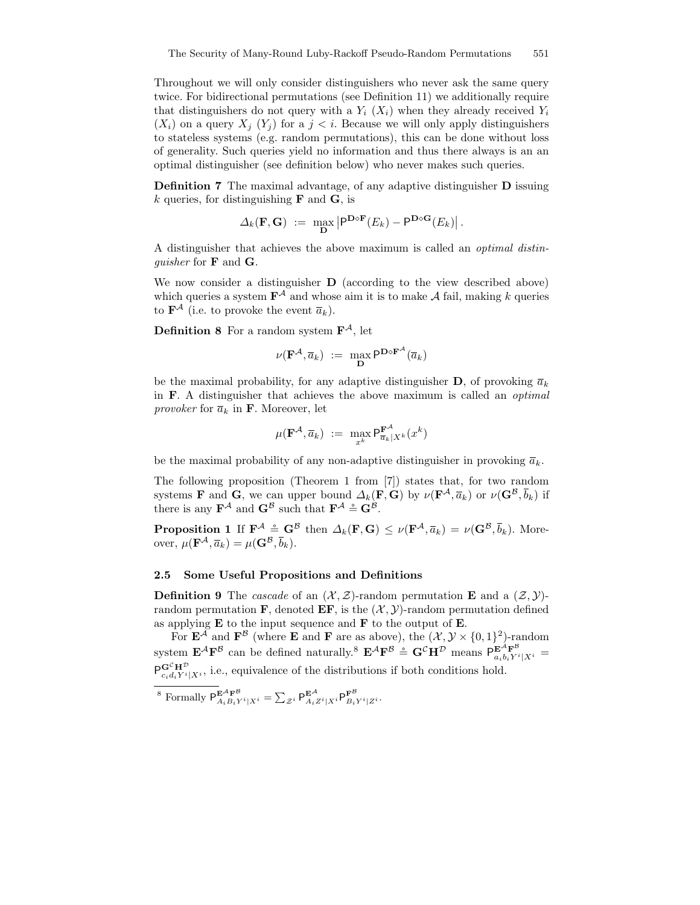Throughout we will only consider distinguishers who never ask the same query twice. For bidirectional permutations (see Definition 11) we additionally require that distinguishers do not query with a  $Y_i$  ( $X_i$ ) when they already received  $Y_i$  $(X_i)$  on a query  $X_j$   $(Y_j)$  for a  $j < i$ . Because we will only apply distinguishers to stateless systems (e.g. random permutations), this can be done without loss of generality. Such queries yield no information and thus there always is an an optimal distinguisher (see definition below) who never makes such queries.

Definition 7 The maximal advantage, of any adaptive distinguisher D issuing k queries, for distinguishing  $\bf{F}$  and  $\bf{G}$ , is

$$
\Delta_k(\mathbf{F},\mathbf{G}) \ := \ \max_{\mathbf{D}} \left| \mathsf{P}^{\mathbf{D}\diamond\mathbf{F}}(E_k) - \mathsf{P}^{\mathbf{D}\diamond\mathbf{G}}(E_k) \right|.
$$

A distinguisher that achieves the above maximum is called an optimal distinguisher for F and G.

We now consider a distinguisher **D** (according to the view described above) which queries a system  $\mathbf{F}^{\mathcal{A}}$  and whose aim it is to make  $\mathcal{A}$  fail, making k queries to  $\mathbf{F}^{\mathcal{A}}$  (i.e. to provoke the event  $\overline{a}_k$ ).

**Definition 8** For a random system  $\mathbf{F}^{\mathcal{A}}$ , let

$$
\nu(\mathbf{F}^{\mathcal{A}}, \overline{a}_k) := \max_{\mathbf{D}} \mathsf{P}^{\mathbf{D} \diamond \mathbf{F}^{\mathcal{A}}}(\overline{a}_k)
$$

be the maximal probability, for any adaptive distinguisher **D**, of provoking  $\overline{a}_k$ in F. A distinguisher that achieves the above maximum is called an optimal *provoker* for  $\overline{a}_k$  in **F**. Moreover, let

$$
\mu(\mathbf{F}^{\mathcal{A}}, \overline{a}_k) := \max_{x^k} \mathsf{P}_{\overline{a}_k|X^k}^{\mathbf{F}^{\mathcal{A}}}(x^k)
$$

be the maximal probability of any non-adaptive distinguisher in provoking  $\overline{a}_k$ .

The following proposition (Theorem 1 from [7]) states that, for two random systems **F** and **G**, we can upper bound  $\Delta_k(\mathbf{F}, \mathbf{G})$  by  $\nu(\mathbf{F}^{\mathcal{A}}, \overline{a}_k)$  or  $\nu(\mathbf{G}^{\mathcal{B}}, \overline{b}_k)$  if there is any  $\mathbf{F}^{\mathcal{A}}$  and  $\mathbf{G}^{\mathcal{B}}$  such that  $\mathbf{F}^{\mathcal{A}} \stackrel{\circ}{=} \mathbf{G}^{\mathcal{B}}$ .

**Proposition 1** If  $\mathbf{F}^{\mathcal{A}} \triangleq \mathbf{G}^{\mathcal{B}}$  then  $\Delta_k(\mathbf{F}, \mathbf{G}) \leq \nu(\mathbf{F}^{\mathcal{A}}, \overline{a}_k) = \nu(\mathbf{G}^{\mathcal{B}}, \overline{b}_k)$ . Moreover,  $\mu(\mathbf{F}^{\mathcal{A}}, \overline{a}_k) = \mu(\mathbf{G}^{\mathcal{B}}, \overline{b}_k).$ 

#### 2.5 Some Useful Propositions and Definitions

**Definition 9** The *cascade* of an  $(\mathcal{X}, \mathcal{Z})$ -random permutation **E** and a  $(\mathcal{Z}, \mathcal{Y})$ random permutation **F**, denoted **EF**, is the  $(\mathcal{X}, \mathcal{Y})$ -random permutation defined as applying  $E$  to the input sequence and  $F$  to the output of  $E$ .

For  $\mathbf{E}^{\mathcal{A}}$  and  $\mathbf{F}^{\mathcal{B}}$  (where  $\mathbf E$  and  $\mathbf F$  are as above), the  $(\mathcal{X}, \mathcal{Y} \times \{0, 1\}^2)$ -random system  $\mathbf{E}^{\mathcal{A}}\mathbf{F}^{\mathcal{B}}$  can be defined naturally.<sup>8</sup>  $\mathbf{E}^{\mathcal{A}}\mathbf{F}^{\mathcal{B}} \doteq \mathbf{G}^{\mathcal{C}}\mathbf{H}^{\mathcal{D}}$  means  $P_{a_ib_iY^i|X^i}^{\mathbf{E}^{\mathcal{A}}}\ =$  $\overline{\mathsf{P}}^{\mathbf{G}^\mathcal{C}} \overline{\mathbf{H}}^{\mathcal{D}}$  $\mathbf{G}^{\mathsf{c}} \mathbf{H}^{\mathsf{c}}_{c_i d_i Y^i | X^i}$ , i.e., equivalence of the distributions if both conditions hold.

$$
^8 \text{ Formally } \mathsf{P}^{\mathbf{E}^{\mathcal{A}} \mathbf{F}^{\mathcal{B}}}_{A_i B_i Y^i | X^i} = \sum_{\mathcal{Z}^i} \mathsf{P}^{\mathbf{E}^{\mathcal{A}}}_{A_i Z^i | X^i} \mathsf{P}^{\mathbf{F}^{\mathcal{B}}}_{B_i Y^i | Z^i}.
$$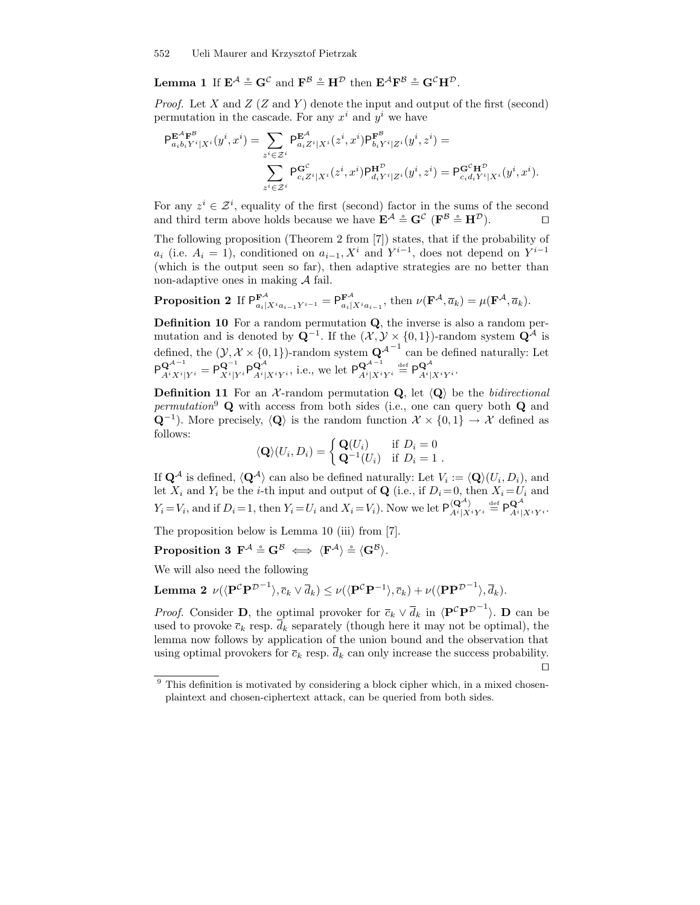**Lemma 1** If  $\mathbf{E}^{\mathcal{A}} \triangleq \mathbf{G}^{\mathcal{C}}$  and  $\mathbf{F}^{\mathcal{B}} \triangleq \mathbf{H}^{\mathcal{D}}$  then  $\mathbf{E}^{\mathcal{A}}\mathbf{F}^{\mathcal{B}} \triangleq \mathbf{G}^{\mathcal{C}}\mathbf{H}^{\mathcal{D}}$ .

*Proof.* Let X and  $Z(Z \text{ and } Y)$  denote the input and output of the first (second) permutation in the cascade. For any  $x^i$  and  $y^i$  we have

$$
\begin{aligned} \mathsf{P}^{\mathbf{E}^{\mathcal{A}}\mathbf{F}^{\mathcal{B}}}_{a_{i}b_{i}Y^{i}|X^{i}}(y^{i},x^{i})&=\sum_{z^{i}\in\mathcal{Z}^{i}}\mathsf{P}^{\mathbf{E}^{\mathcal{A}}}_{a_{i}Z^{i}|X^{i}}(z^{i},x^{i})\mathsf{P}^{\mathbf{F}^{\mathcal{B}}}_{b_{i}Y^{i}|Z^{i}}(y^{i},z^{i})=\\ &\sum_{z^{i}\in\mathcal{Z}^{i}}\mathsf{P}^{\mathbf{G}^{\mathcal{C}}}_{c_{i}Z^{i}|X^{i}}(z^{i},x^{i})\mathsf{P}^{\mathbf{H}^{\mathcal{D}}}_{d_{i}Y^{i}|Z^{i}}(y^{i},z^{i})=\mathsf{P}^{\mathbf{G}^{\mathcal{C}}\mathbf{H}^{\mathcal{D}}}_{c_{i}d_{i}Y^{i}|X^{i}}(y^{i},x^{i}).\end{aligned}
$$

For any  $z^i \in \mathcal{Z}^i$ , equality of the first (second) factor in the sums of the second and third term above holds because we have  $\mathbf{E}^{\mathcal{A}} \stackrel{\circ}{=} \mathbf{G}^{\mathcal{C}}$  ( $\mathbf{F}^{\mathcal{B}} \stackrel{\circ}{=} \mathbf{H}^{\mathcal{D}}$ ).

The following proposition (Theorem 2 from [7]) states, that if the probability of  $a_i$  (i.e.  $A_i = 1$ ), conditioned on  $a_{i-1}$ ,  $X^i$  and  $Y^{i-1}$ , does not depend on  $Y^{i-1}$ (which is the output seen so far), then adaptive strategies are no better than non-adaptive ones in making A fail.

**Proposition 2** If  $P_{a_i|X^ia_{i-1}Y^{i-1}}^{\mathbf{F}^{\mathcal{A}}} = P_{a_i|X^ia_{i-1}}^{\mathbf{F}^{\mathcal{A}}},$  then  $\nu(\mathbf{F}^{\mathcal{A}}, \overline{a}_k) = \mu(\mathbf{F}^{\mathcal{A}}, \overline{a}_k)$ .

Definition 10 For a random permutation Q, the inverse is also a random permutation and is denoted by  $\mathbf{Q}^{-1}$ . If the  $(\mathcal{X}, \mathcal{Y} \times \{0, 1\})$ -random system  $\mathbf{Q}^{\mathcal{A}}$  is defined, the  $(\mathcal{Y}, \mathcal{X} \times \{0, 1\})$ -random system  $\mathbf{Q}^{\mathcal{A}^{-1}}$  can be defined naturally: Let  $P^{\mathbf{Q}^{\mathcal{A}^{-1}}}_{ij}$  $\frac{\mathbf{Q}^{\mathcal{A}^{-1}}}{A^i X^i |Y^i} = \mathsf{P}^{\mathbf{Q}^{-1}}_{X^i | Y}$  $\frac{\mathbf{Q}^{-1}}{X^i|Y^i}\mathsf{P}^{\mathbf{Q}^{\mathcal{A}}}_{A^i|_1}$  $\mathbf{Q}_{A^i|X^iY^i}^{\mathcal{A}},$  i.e., we let  $\mathsf{P}_{A^i|X^i}^{\mathcal{Q}^{\mathcal{A}^{-1}}}$  $\frac{\mathbf{Q}^{\mathcal{A}^{-1}}}{A^{i}|X^{i}Y^{i}}\stackrel{\mathrm{def}}{=} \mathsf{P}^{\mathbf{Q}^{\mathcal{A}}}_{A^{i}|X^{i}Y^{i}}$  $A^i|X^iY^i$ 

**Definition 11** For an X-random permutation  $Q$ , let  $\langle Q \rangle$  be the *bidirectional* permutation<sup>9</sup> Q with access from both sides (i.e., one can query both Q and  $\mathbf{Q}^{-1}$ ). More precisely,  $\langle \mathbf{Q} \rangle$  is the random function  $\mathcal{X} \times \{0,1\} \to \mathcal{X}$  defined as follows:

$$
\langle \mathbf{Q} \rangle (U_i, D_i) = \begin{cases} \mathbf{Q}(U_i) & \text{if } D_i = 0 \\ \mathbf{Q}^{-1}(U_i) & \text{if } D_i = 1 \end{cases}.
$$

If  $\mathbf{Q}^{\mathcal{A}}$  is defined,  $\langle \mathbf{Q}^{\mathcal{A}} \rangle$  can also be defined naturally: Let  $V_i := \langle \mathbf{Q} \rangle (U_i, D_i)$ , and let  $X_i$  and  $Y_i$  be the *i*-th input and output of **Q** (i.e., if  $D_i = 0$ , then  $X_i = U_i$  and  $Y_i = V_i$ , and if  $D_i = 1$ , then  $Y_i = U_i$  and  $X_i = V_i$ ). Now we let  $\mathsf{P}_{A^i|X}^{(\mathbf{Q}^{\mathcal{A}})}$  $\langle \mathbf{Q}^{\mathcal{A}} \rangle_{A^i | X^i Y^i} \stackrel{\text{def}}{=} \mathsf{P}^{\mathbf{Q}^{\mathcal{A}}}_{A^i | A^i}$  $A^i|X^iY^i$  .

The proposition below is Lemma 10 (iii) from [7].

 $\textbf{Proposition 3}\ \ \textbf{F}^\mathcal{A} \circeq \textbf{G}^\mathcal{B} \iff \langle \textbf{F}^\mathcal{A} \rangle \circeq \langle \textbf{G}^\mathcal{B} \rangle.$ 

We will also need the following

**Lemma 2** 
$$
\nu(\langle \mathbf{P}^{\mathcal{C}} \mathbf{P}^{\mathcal{D}^{-1}} \rangle, \overline{c}_k \vee \overline{d}_k) \leq \nu(\langle \mathbf{P}^{\mathcal{C}} \mathbf{P}^{-1} \rangle, \overline{c}_k) + \nu(\langle \mathbf{P} \mathbf{P}^{\mathcal{D}^{-1}} \rangle, \overline{d}_k).
$$

*Proof.* Consider **D**, the optimal provoker for  $\overline{c}_k \vee \overline{d}_k$  in  $\langle \mathbf{P}^{\mathcal{C}} \mathbf{P}^{\mathcal{D}^{-1}} \rangle$ . **D** can be used to provoke  $\overline{c}_k$  resp.  $d_k$  separately (though here it may not be optimal), the lemma now follows by application of the union bound and the observation that using optimal provokers for  $\overline{c}_k$  resp.  $\overline{d}_k$  can only increase the success probability.

 $\Box$ 

 $9$  This definition is motivated by considering a block cipher which, in a mixed chosenplaintext and chosen-ciphertext attack, can be queried from both sides.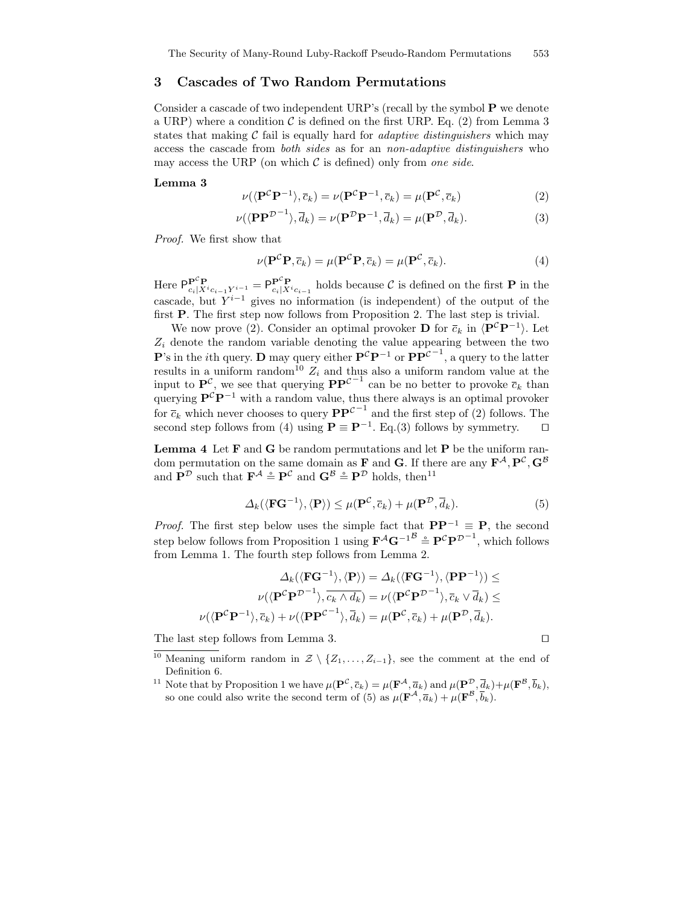# 3 Cascades of Two Random Permutations

Consider a cascade of two independent URP's (recall by the symbol P we denote a URP) where a condition  $\mathcal C$  is defined on the first URP. Eq. (2) from Lemma 3 states that making  $\mathcal C$  fail is equally hard for *adaptive distinguishers* which may access the cascade from both sides as for an non-adaptive distinguishers who may access the URP (on which  $\mathcal C$  is defined) only from one side.

#### Lemma 3

$$
\nu(\langle \mathbf{P}^{\mathcal{C}} \mathbf{P}^{-1} \rangle, \overline{c}_k) = \nu(\mathbf{P}^{\mathcal{C}} \mathbf{P}^{-1}, \overline{c}_k) = \mu(\mathbf{P}^{\mathcal{C}}, \overline{c}_k)
$$
(2)

$$
\nu(\langle \mathbf{P} \mathbf{P}^{\mathcal{D}^{-1}} \rangle, \overline{d}_k) = \nu(\mathbf{P}^{\mathcal{D}} \mathbf{P}^{-1}, \overline{d}_k) = \mu(\mathbf{P}^{\mathcal{D}}, \overline{d}_k). \tag{3}
$$

Proof. We first show that

$$
\nu(\mathbf{P}^{\mathcal{C}}\mathbf{P},\overline{c}_k) = \mu(\mathbf{P}^{\mathcal{C}}\mathbf{P},\overline{c}_k) = \mu(\mathbf{P}^{\mathcal{C}},\overline{c}_k). \tag{4}
$$

Here  $\mathsf{P}_{c_i|X^{i}c_{i-1}Y^{i-1}}^{\mathbf{p}^{c}} = \mathsf{P}_{c_i|X^{i}c_{i-1}}^{\mathbf{p}^{c}}$  holds because  $\mathcal{C}$  is defined on the first **P** in the cascade, but  $Y^{i-1}$  gives no information (is independent) of the output of the first P. The first step now follows from Proposition 2. The last step is trivial.

We now prove (2). Consider an optimal provoker **D** for  $\overline{c}_k$  in  $\langle \mathbf{P}^c \mathbf{P}^{-1} \rangle$ . Let  $Z_i$  denote the random variable denoting the value appearing between the two **P**'s in the *i*th query. **D** may query either  $\mathbf{P}^{\mathcal{C}}\mathbf{P}^{-1}$  or  $\mathbf{P}\mathbf{P}^{\mathcal{C}^{-1}}$ , a query to the latter results in a uniform random<sup>10</sup>  $Z_i$  and thus also a uniform random value at the input to  $\mathbf{P}^{\mathcal{C}}$ , we see that querying  $\mathbf{P}\mathbf{P}^{\mathcal{C}^{-1}}$  can be no better to provoke  $\overline{c}_k$  than querying  $\mathbf{P}^c \mathbf{P}^{-1}$  with a random value, thus there always is an optimal provoker for  $\overline{c}_k$  which never chooses to query  $\mathbf{PP}^{\mathcal{C}^{-1}}$  and the first step of (2) follows. The second step follows from (4) using  $\mathbf{P} \equiv \mathbf{P}^{-1}$ . Eq.(3) follows by symmetry.  $\Box$ 

**Lemma 4** Let  $F$  and  $G$  be random permutations and let  $P$  be the uniform random permutation on the same domain as **F** and **G**. If there are any  $\mathbf{F}^{\mathcal{A}}, \mathbf{P}^{\mathcal{C}}, \mathbf{G}^{\mathcal{B}}$ and  $\mathbf{P}^{\mathcal{D}}$  such that  $\mathbf{F}^{\mathcal{A}} \stackrel{\circ}{=} \mathbf{P}^{\mathcal{C}}$  and  $\mathbf{G}^{\mathcal{B}} \stackrel{\circ}{=} \mathbf{P}^{\mathcal{D}}$  holds, then<sup>11</sup>

$$
\Delta_k(\langle \mathbf{FG}^{-1} \rangle, \langle \mathbf{P} \rangle) \le \mu(\mathbf{P}^{\mathcal{C}}, \overline{c}_k) + \mu(\mathbf{P}^{\mathcal{D}}, \overline{d}_k). \tag{5}
$$

*Proof.* The first step below uses the simple fact that  $\mathbf{PP}^{-1} \equiv \mathbf{P}$ , the second step below follows from Proposition 1 using  $\mathbf{F}^{\mathcal{A}}\mathbf{G}^{-1}$ <sup>B</sup>  $\cong \mathbf{P}^{\mathcal{C}}\mathbf{P}^{\mathcal{D}^{-1}}$ , which follows from Lemma 1. The fourth step follows from Lemma 2.

$$
\Delta_k(\langle \mathbf{FG}^{-1} \rangle, \langle \mathbf{P} \rangle) = \Delta_k(\langle \mathbf{FG}^{-1} \rangle, \langle \mathbf{PP}^{-1} \rangle) \le
$$

$$
\nu(\langle \mathbf{P}^C \mathbf{P}^{\mathcal{D}^{-1}} \rangle, \overline{c_k \wedge d_k}) = \nu(\langle \mathbf{P}^C \mathbf{P}^{\mathcal{D}^{-1}} \rangle, \overline{c_k} \vee \overline{d_k}) \le
$$

$$
\nu(\langle \mathbf{P}^C \mathbf{P}^{-1} \rangle, \overline{c_k}) + \nu(\langle \mathbf{P} \mathbf{P}^{C-1} \rangle, \overline{d_k}) = \mu(\mathbf{P}^C, \overline{c_k}) + \mu(\mathbf{P}^{\mathcal{D}}, \overline{d_k}).
$$

The last step follows from Lemma 3.  $\square$ 

- <sup>10</sup> Meaning uniform random in  $\mathcal{Z} \setminus \{Z_1, \ldots, Z_{i-1}\}$ , see the comment at the end of Definition 6.
- <sup>11</sup> Note that by Proposition 1 we have  $\mu(\mathbf{P}^{\mathcal{C}}, \bar{c}_k) = \mu(\mathbf{F}^{\mathcal{A}}, \bar{a}_k)$  and  $\mu(\mathbf{P}^{\mathcal{D}}, \bar{d}_k) + \mu(\mathbf{F}^{\mathcal{B}}, \bar{b}_k)$ , so one could also write the second term of (5) as  $\mu(\mathbf{F}^{\mathcal{A}}, \overline{a}_k) + \mu(\mathbf{F}^{\mathcal{B}}, \overline{b}_k)$ .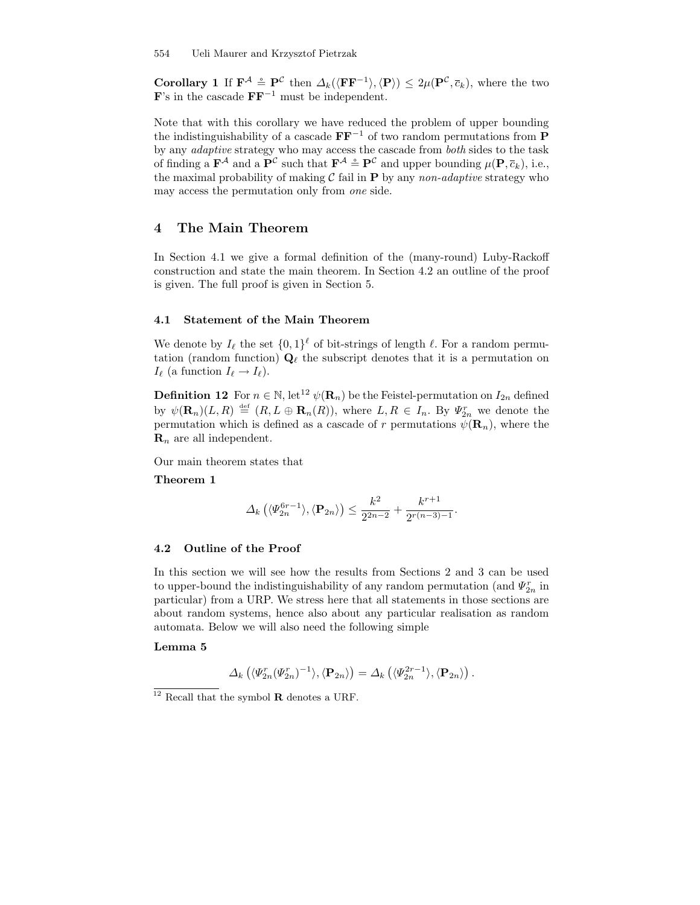**Corollary 1** If  $\mathbf{F}^{\mathcal{A}} \doteq \mathbf{P}^{\mathcal{C}}$  then  $\Delta_k(\langle \mathbf{F}\mathbf{F}^{-1}\rangle, \langle \mathbf{P}\rangle) \leq 2\mu(\mathbf{P}^{\mathcal{C}}, \overline{c}_k)$ , where the two  $\mathbf{F}$ 's in the cascade  $\mathbf{F}\mathbf{F}^{-1}$  must be independent.

Note that with this corollary we have reduced the problem of upper bounding the indistinguishability of a cascade  $\mathbf{FF}^{-1}$  of two random permutations from P by any adaptive strategy who may access the cascade from both sides to the task of finding a  $\mathbf{F}^{\mathcal{A}}$  and a  $\mathbf{P}^{\mathcal{C}}$  such that  $\mathbf{F}^{\mathcal{A}} \doteq \mathbf{P}^{\mathcal{C}}$  and upper bounding  $\mu(\mathbf{P}, \overline{c}_k)$ , i.e., the maximal probability of making  $\mathcal C$  fail in  $P$  by any non-adaptive strategy who may access the permutation only from one side.

# 4 The Main Theorem

In Section 4.1 we give a formal definition of the (many-round) Luby-Rackoff construction and state the main theorem. In Section 4.2 an outline of the proof is given. The full proof is given in Section 5.

# 4.1 Statement of the Main Theorem

We denote by  $I_\ell$  the set  $\{0, 1\}^\ell$  of bit-strings of length  $\ell$ . For a random permutation (random function)  $\mathbf{Q}_{\ell}$  the subscript denotes that it is a permutation on  $I_{\ell}$  (a function  $I_{\ell} \to I_{\ell}$ ).

**Definition 12** For  $n \in \mathbb{N}$ , let<sup>12</sup>  $\psi(\mathbf{R}_n)$  be the Feistel-permutation on  $I_{2n}$  defined by  $\psi(\mathbf{R}_n)(L,R) \stackrel{\text{def}}{=} (R, L \oplus \mathbf{R}_n(R)),$  where  $L, R \in I_n$ . By  $\Psi_{2n}^r$  we denote the permutation which is defined as a cascade of r permutations  $\psi(\mathbf{R}_n)$ , where the  $\mathbf{R}_n$  are all independent.

Our main theorem states that

Theorem 1

$$
\Delta_k\left(\langle \varPsi_{2n}^{6r-1}\rangle, \langle \mathbf{P}_{2n}\rangle\right) \leq \frac{k^2}{2^{2n-2}} + \frac{k^{r+1}}{2^{r(n-3)-1}}.
$$

#### 4.2 Outline of the Proof

In this section we will see how the results from Sections 2 and 3 can be used to upper-bound the indistinguishability of any random permutation (and  $\Psi^r_{2n}$  in particular) from a URP. We stress here that all statements in those sections are about random systems, hence also about any particular realisation as random automata. Below we will also need the following simple

#### Lemma 5

$$
\Delta_k\left(\langle \varPsi_{2n}^r(\varPsi_{2n}^r)^{-1}\rangle, \langle \mathbf{P}_{2n}\rangle\right) = \Delta_k\left(\langle \varPsi_{2n}^{2r-1}\rangle, \langle \mathbf{P}_{2n}\rangle\right).
$$

 $12$  Recall that the symbol **R** denotes a URF.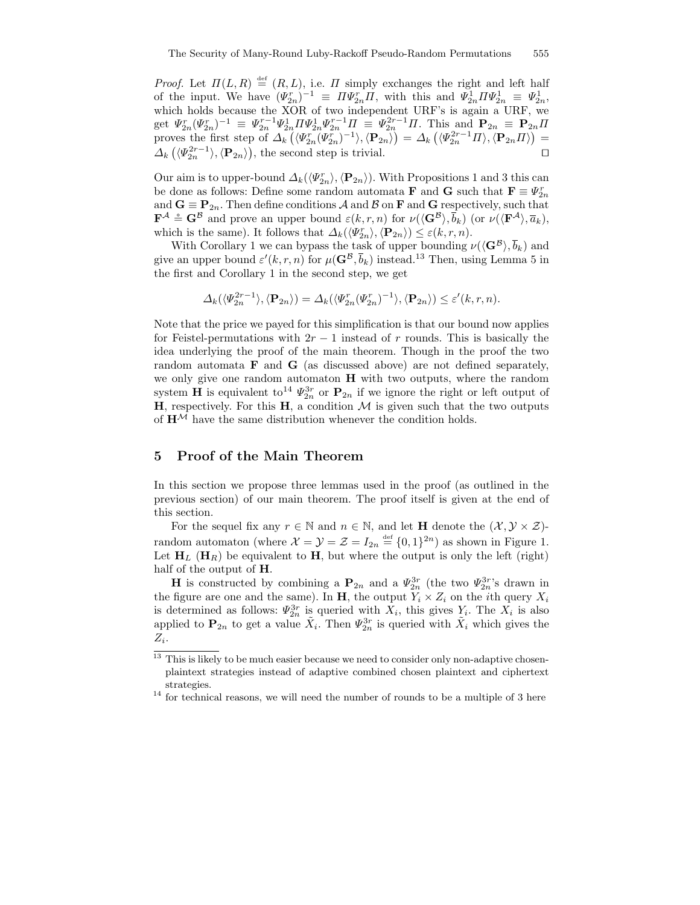*Proof.* Let  $\Pi(L, R) \stackrel{\text{def}}{=} (R, L)$ , i.e.  $\Pi$  simply exchanges the right and left half of the input. We have  $(\Psi_{2n}^r)^{-1} \equiv \Pi \Psi_{2n}^r \Pi$ , with this and  $\Psi_{2n}^1 \Pi \Psi_{2n}^1 \equiv \Psi_{2n}^1$ , which holds because the XOR of two independent URF's is again a URF, we get  $\Psi_{2n}^r(\Psi_{2n}^r)^{-1} \equiv \Psi_{2n}^{r-1}\Psi_{2n}^1 \Pi \Psi_{2n}^1 \Psi_{2n}^{r-1}\Pi \equiv \Psi_{2n}^{2r-1}\Pi$ . This and  $\mathbf{P}_{2n} \equiv \mathbf{P}_{2n}\Pi$ proves the first step of  $\Delta_k(\langle \Psi_{2n}^{r''}(\Psi_{2n}^{r''})^{-1} \rangle, \langle \mathbf{P}_{2n} \rangle) = \Delta_k(\langle \Psi_{2n}^{2r-1} \Pi \rangle, \langle \mathbf{P}_{2n} \Pi \rangle) =$  $\Delta_k(\langle \Psi_{2n}^{2r-1} \rangle, \langle \mathbf{P}_{2n} \rangle)$ , the second step is trivial.

Our aim is to upper-bound  $\Delta_k(\langle \Psi_{2n}^r \rangle, \langle \mathbf{P}_{2n} \rangle)$ . With Propositions 1 and 3 this can be done as follows: Define some random automata **F** and **G** such that  $\mathbf{F} \equiv \varPsi_{2n}^r$ and  $\mathbf{G} \equiv \mathbf{P}_{2n}$ . Then define conditions A and B on F and G respectively, such that  $\mathbf{F}^{\mathcal{A}} \triangleq \mathbf{G}^{\mathcal{B}}$  and prove an upper bound  $\varepsilon(k,r,n)$  for  $\nu(\langle \mathbf{G}^{\mathcal{B}} \rangle, \overline{b}_k)$  (or  $\nu(\langle \mathbf{F}^{\mathcal{A}} \rangle, \overline{a}_k)$ , which is the same). It follows that  $\Delta_k(\langle \Psi_{2n}^r \rangle, \langle \mathbf{P}_{2n} \rangle) \leq \varepsilon(k, r, n)$ .

With Corollary 1 we can bypass the task of upper bounding  $\nu(\langle \mathbf{G}^{\mathcal{B}} \rangle, \overline{b}_k)$  and give an upper bound  $\varepsilon'(k,r,n)$  for  $\mu(\mathbf{G}^{\mathcal{B}}, \overline{b}_k)$  instead.<sup>13</sup> Then, using Lemma 5 in the first and Corollary 1 in the second step, we get

$$
\Delta_k(\langle \Psi_{2n}^{2r-1} \rangle, \langle \mathbf{P}_{2n} \rangle) = \Delta_k(\langle \Psi_{2n}^r(\Psi_{2n}^r)^{-1} \rangle, \langle \mathbf{P}_{2n} \rangle) \le \varepsilon'(k, r, n).
$$

Note that the price we payed for this simplification is that our bound now applies for Feistel-permutations with  $2r - 1$  instead of r rounds. This is basically the idea underlying the proof of the main theorem. Though in the proof the two random automata F and G (as discussed above) are not defined separately, we only give one random automaton H with two outputs, where the random system **H** is equivalent to<sup>14</sup>  $\Psi_{2n}^{3r}$  or  $\mathbf{P}_{2n}$  if we ignore the right or left output of  $H$ , respectively. For this  $H$ , a condition  $M$  is given such that the two outputs of  $H^{\mathcal{M}}$  have the same distribution whenever the condition holds.

# 5 Proof of the Main Theorem

In this section we propose three lemmas used in the proof (as outlined in the previous section) of our main theorem. The proof itself is given at the end of this section.

For the sequel fix any  $r \in \mathbb{N}$  and  $n \in \mathbb{N}$ , and let **H** denote the  $(\mathcal{X}, \mathcal{Y} \times \mathcal{Z})$ random automaton (where  $\mathcal{X} = \mathcal{Y} = \mathcal{Z} = I_{2n} \stackrel{\text{def}}{=} \{0,1\}^{2n}$ ) as shown in Figure 1. Let  $H_L$  ( $H_R$ ) be equivalent to H, but where the output is only the left (right) half of the output of **H**.

**H** is constructed by combining a  $P_{2n}$  and a  $\Psi_{2n}^{3r}$  (the two  $\Psi_{2n}^{3r}$ 's drawn in the figure are one and the same). In H, the output  $Y_i \times Z_i$  on the *i*th query  $X_i$ is determined as follows:  $\Psi_{2n}^{3r}$  is queried with  $X_i$ , this gives  $Y_i$ . The  $X_i$  is also applied to  $\mathbf{P}_{2n}$  to get a value  $\tilde{X}_i$ . Then  $\Psi_{2n}^{3r}$  is queried with  $\tilde{X}_i$  which gives the  $Z_i$ .

 $^{13}$  This is likely to be much easier because we need to consider only non-adaptive chosenplaintext strategies instead of adaptive combined chosen plaintext and ciphertext strategies.

 $14$  for technical reasons, we will need the number of rounds to be a multiple of 3 here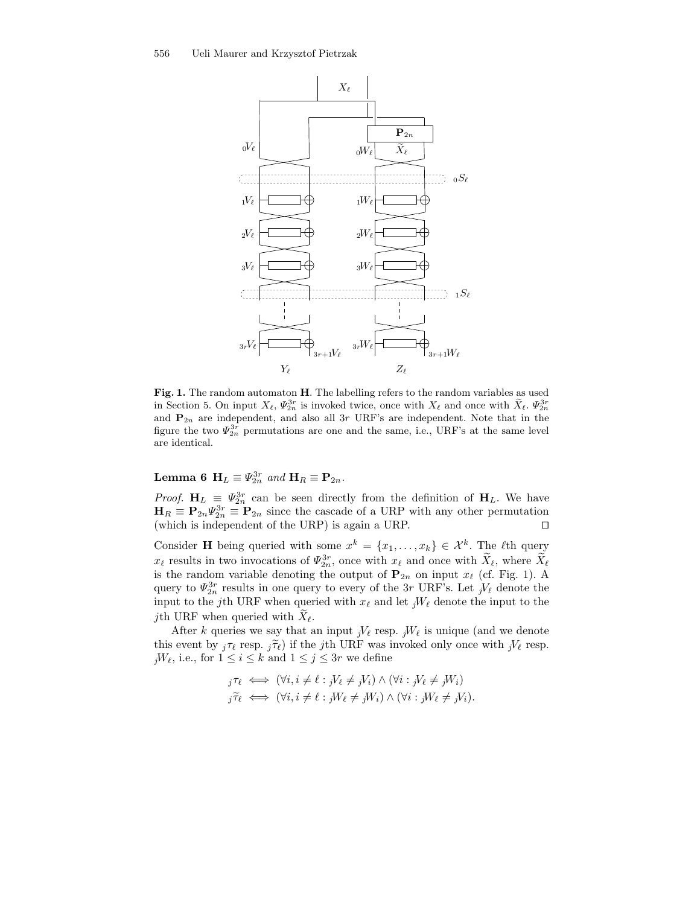

Fig. 1. The random automaton H. The labelling refers to the random variables as used in Section 5. On input  $X_{\ell}$ ,  $\Psi_{2n}^{3r}$  is invoked twice, once with  $X_{\ell}$  and once with  $\tilde{X}_{\ell}$ .  $\Psi_{2n}^{3r}$ and  $P_{2n}$  are independent, and also all 3r URF's are independent. Note that in the figure the two  $\Psi_{2n}^{3r}$  permutations are one and the same, i.e., URF's at the same level are identical.

Lemma 6  $H_L \equiv \Psi_{2n}^{3r}$  and  $H_R \equiv \mathbf{P}_{2n}$ .

*Proof.*  $H_L \equiv \Psi_{2n}^{3r}$  can be seen directly from the definition of  $H_L$ . We have  $\mathbf{H}_R \equiv \mathbf{P}_{2n} \Psi_{2n}^{3r} \equiv \mathbf{P}_{2n}$  since the cascade of a URP with any other permutation (which is independent of the URP) is again a URP.  $\Box$ 

Consider **H** being queried with some  $x^k = \{x_1, \ldots, x_k\} \in \mathcal{X}^k$ . The  $\ell$ th query  $x_{\ell}$  results in two invocations of  $\Psi_{2n}^{3r}$ , once with  $x_{\ell}$  and once with  $X_{\ell}$ , where  $X_{\ell}$ is the random variable denoting the output of  $P_{2n}$  on input  $x_\ell$  (cf. Fig. 1). A query to  $\Psi_{2n}^{3r}$  results in one query to every of the 3r URF's. Let  ${}_jV_\ell$  denote the input to the j<sup>th</sup> URF when queried with  $x_\ell$  and let  ${}_jW_\ell$  denote the input to the *j*th URF when queried with  $X_{\ell}$ .

After k queries we say that an input  ${}_iV_\ell$  resp.  ${}_iW_\ell$  is unique (and we denote this event by  ${}_{i}\tau_{\ell}$  resp.  ${}_{i}\tilde{\tau}_{\ell}$ ) if the jth URF was invoked only once with  ${}_{i}V_{\ell}$  resp.  $jW_{\ell}$ , i.e., for  $1 \leq i \leq k$  and  $1 \leq j \leq 3r$  we define

$$
j\tau_{\ell} \iff (\forall i, i \neq \ell : jV_{\ell} \neq jV_i) \land (\forall i : jV_{\ell} \neq jW_i)
$$
  

$$
j\tilde{\tau}_{\ell} \iff (\forall i, i \neq \ell : jW_{\ell} \neq jW_i) \land (\forall i : jW_{\ell} \neq jV_i).
$$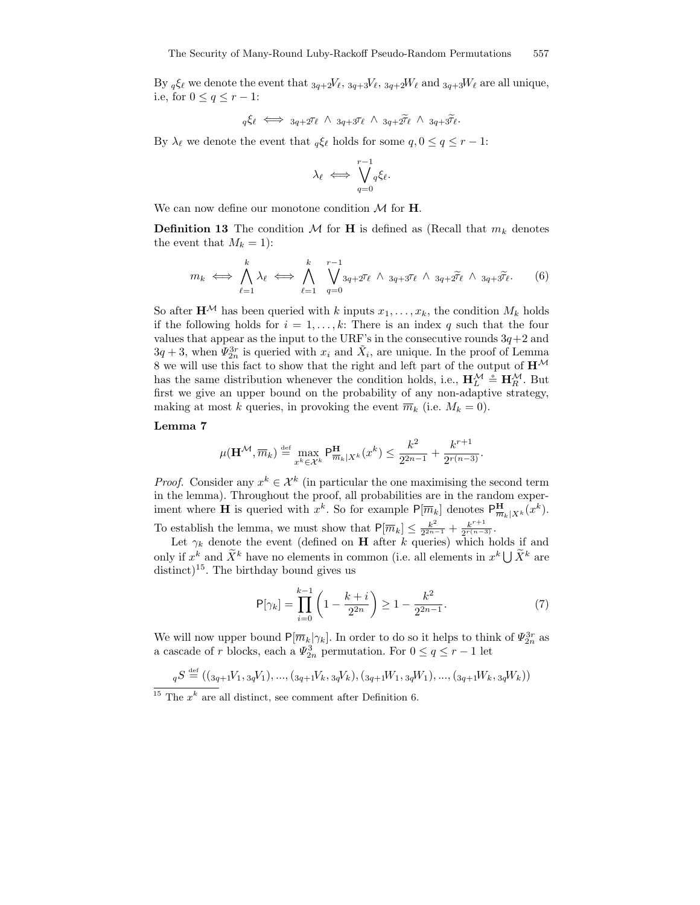By  ${}_q\xi_\ell$  we denote the event that  ${}_{3q+2}V_\ell, {}_{3q+3}V_\ell, {}_{3q+2}W_\ell$  and  ${}_{3q+3}W_\ell$  are all unique, i.e, for  $0 \leq q \leq r-1$ :

$$
q\xi_{\ell} \iff 3q+2\tau_{\ell} \land 3q+3\tau_{\ell} \land 3q+2\tilde{\tau}_{\ell} \land 3q+3\tilde{\tau}_{\ell}.
$$

By  $\lambda_\ell$  we denote the event that  $_q \xi_\ell$  holds for some  $q, 0 \le q \le r - 1$ :

$$
\lambda_{\ell} \iff \bigvee_{q=0}^{r-1} q\xi_{\ell}.
$$

We can now define our monotone condition  $M$  for  $H$ .

**Definition 13** The condition M for H is defined as (Recall that  $m_k$  denotes the event that  $M_k = 1$ :

$$
m_k \iff \bigwedge_{\ell=1}^k \lambda_\ell \iff \bigwedge_{\ell=1}^k \bigvee_{q=0}^{r-1} 3q+2^{\tau_\ell} \wedge 3q+3^{\tau_\ell} \wedge 3q+2^{\widetilde{\tau}_\ell} \wedge 3q+3^{\widetilde{\tau}_\ell}.
$$
 (6)

So after  $\mathbf{H}^{\mathcal{M}}$  has been queried with k inputs  $x_1, \ldots, x_k$ , the condition  $M_k$  holds if the following holds for  $i = 1, \ldots, k$ : There is an index q such that the four values that appear as the input to the URF's in the consecutive rounds  $3q+2$  and  $3q+3$ , when  $\Psi_{2n}^{3r}$  is queried with  $x_i$  and  $\tilde{X}_i$ , are unique. In the proof of Lemma 8 we will use this fact to show that the right and left part of the output of  $\mathbf{H}^{\mathcal{M}}$ has the same distribution whenever the condition holds, i.e.,  $\mathbf{H}_{L}^{\mathcal{M}} \triangleq \mathbf{H}_{R}^{\mathcal{M}}$ . But first we give an upper bound on the probability of any non-adaptive strategy, making at most k queries, in provoking the event  $\overline{m}_k$  (i.e.  $M_k = 0$ ).

# Lemma 7

$$
\mu(\mathbf{H}^{\mathcal{M}}, \overline{m}_k) \stackrel{\text{def}}{=} \max_{x^k \in \mathcal{X}^k} \mathsf{P}_{\overline{m}_k | X^k}^{\mathbf{H}}(x^k) \le \frac{k^2}{2^{2n-1}} + \frac{k^{r+1}}{2^{r(n-3)}}.
$$

*Proof.* Consider any  $x^k \in \mathcal{X}^k$  (in particular the one maximising the second term in the lemma). Throughout the proof, all probabilities are in the random experiment where **H** is queried with  $x^k$ . So for example  $P[\overline{m}_k]$  denotes  $P_{\overline{m}_k|X^k}(x^k)$ . To establish the lemma, we must show that  $P[\overline{m}_k] \leq \frac{k^2}{2^{2n}}$  $\frac{k^2}{2^{2n-1}}+\frac{k^{r+1}}{2^{r(n-r)}}$  $rac{k}{2^{r(n-3)}}$ .

Let  $\gamma_k$  denote the event (defined on **H** after k queries) which holds if and only if  $x^k$  and  $\widetilde{X}^k$  have no elements in common (i.e. all elements in  $x^k \bigcup \widetilde{X}^k$  are distinct)<sup>15</sup>. The birthday bound gives us

$$
\mathsf{P}[\gamma_k] = \prod_{i=0}^{k-1} \left( 1 - \frac{k+i}{2^{2n}} \right) \ge 1 - \frac{k^2}{2^{2n-1}}.
$$
 (7)

We will now upper bound  $P[\overline{m}_k|\gamma_k]$ . In order to do so it helps to think of  $\varPsi_{2n}^{3r}$  as a cascade of r blocks, each a  $\varPsi_{2n}^3$  permutation. For  $0 \leq q \leq r-1$  let

$$
qS \stackrel{\text{def}}{=} ((s_{q+1}V_1, s_qV_1), ..., (s_{q+1}V_k, s_qV_k), (s_{q+1}W_1, s_qW_1), ..., (s_{q+1}W_k, s_qW_k))
$$

<sup>&</sup>lt;sup>15</sup> The  $x^k$  are all distinct, see comment after Definition 6.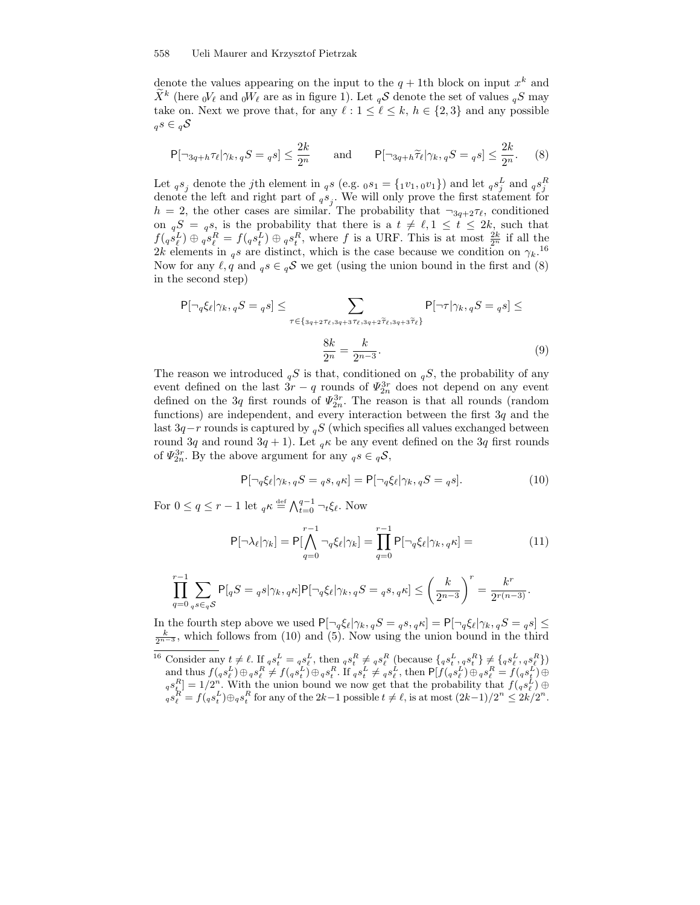denote the values appearing on the input to the  $q + 1$ th block on input  $x^k$  and  $\tilde{X}^k$  (here  ${}_0V_\ell$  and  ${}_0W_\ell$  are as in figure 1). Let  ${}_q\mathcal{S}$  denote the set of values  ${}_qS$  may take on. Next we prove that, for any  $\ell : 1 \leq \ell \leq k, h \in \{2, 3\}$  and any possible  ${}_{q}s \in {}_{q}\mathcal{S}$ 

$$
\mathsf{P}[\neg 3q + h\tau_\ell | \gamma_k, qS = qS] \le \frac{2k}{2^n} \qquad \text{and} \qquad \mathsf{P}[\neg 3q + h\widetilde{\tau}_\ell | \gamma_k, qS = qS] \le \frac{2k}{2^n}.\tag{8}
$$

Let  ${}_{q}s_j$  denote the *j*th element in  ${}_{q}s$  (e.g.  ${}_{0}s_1 = \{ {}_{1}v_1, {}_{0}v_1\}$ ) and let  ${}_{q}s_j^L$  and  ${}_{q}s_j^R$ denote the left and right part of  ${}_{q}s_j$ . We will only prove the first statement for  $h = 2$ , the other cases are similar. The probability that  $\neg_{3q+2}\tau_{\ell}$ , conditioned on  ${}_{q}S = {}_{q}s$ , is the probability that there is a  $t \neq \ell, 1 \leq t \leq 2k$ , such that  $f(q s_{\ell}^L) \oplus q s_{\ell}^R = f(q s_{\ell}^L) \oplus q s_{\ell}^R$ , where f is a URF. This is at most  $\frac{2k}{2^n}$  if all the 2k elements in  $_{q}s$  are distinct, which is the case because we condition on  $\gamma_{k}$ .<sup>16</sup> Now for any  $\ell, q$  and  ${}_{q}s \in {}_{q}S$  we get (using the union bound in the first and (8) in the second step)

$$
\mathsf{P}[\neg_q \xi_\ell | \gamma_k, {}_qS = {}_q s] \le \sum_{\tau \in \{3q+2\tau_\ell, 3q+3\tau_\ell, 3q+2\tilde{\tau}_\ell, 3q+3\tilde{\tau}_\ell\}} \mathsf{P}[\neg \tau | \gamma_k, {}_qS = {}_q s] \le
$$

$$
\frac{8k}{2^n} = \frac{k}{2^{n-3}}.\tag{9}
$$

The reason we introduced  $_qS$  is that, conditioned on  $_qS$ , the probability of any event defined on the last  $3r - q$  rounds of  $\Psi_{2n}^{3r}$  does not depend on any event defined on the 3q first rounds of  $\Psi_{2n}^{3r}$ . The reason is that all rounds (random functions) are independent, and every interaction between the first  $3q$  and the last 3q – r rounds is captured by  ${}_{q}S$  (which specifies all values exchanged between round 3q and round 3q + 1). Let  $_{q}\kappa$  be any event defined on the 3q first rounds of  $\Psi_{2n}^{3r}$ . By the above argument for any  ${}_{q}s \in {}_{q}S$ ,

$$
\mathsf{P}[\neg_q \xi_\ell | \gamma_k, {}_qS = {}_qs, {}_q\kappa] = \mathsf{P}[\neg_q \xi_\ell | \gamma_k, {}_qS = {}_qs]. \tag{10}
$$

For  $0 \le q \le r - 1$  let  ${}_{q}\kappa \stackrel{\text{def}}{=} \bigwedge_{t=0}^{q-1} \neg_t \xi_{\ell}$ . Now

$$
P[\neg \lambda_{\ell} | \gamma_k] = P[\bigwedge_{q=0}^{r-1} \neg_q \xi_{\ell} | \gamma_k] = \prod_{q=0}^{r-1} P[\neg_q \xi_{\ell} | \gamma_k, q \kappa] = \tag{11}
$$

$$
\prod_{q=0}^{r-1}\sum_{\substack{q\leq \in_q \mathcal{S}}} \mathsf{P}[_{q}S = {}_{q}s|\gamma_{k},{}_{q}\kappa] \mathsf{P}[\neg _{q}\xi_{\ell}|\gamma_{k},{}_{q}S = {}_{q}s,{}_{q}\kappa] \leq \left(\frac{k}{2^{n-3}}\right)^r = \frac{k^r}{2^{r(n-3)}}.
$$

In the fourth step above we used  $P[\neg q\xi_\ell|\gamma_k, qS = qs, q\kappa] = P[\neg q\xi_\ell|\gamma_k, qS = qs] \leq$  $\frac{k}{2^{n-3}}$ , which follows from (10) and (5). Now using the union bound in the third

<sup>&</sup>lt;sup>16</sup> Consider any  $t \neq \ell$ . If  ${}_{q}s_{t}^{L} = {}_{q}\underline{s}_{\ell}^{L}$ , then  ${}_{q}s_{t}^{R} \neq {}_{q}s_{\ell}^{R}$  (because  ${}_{q}s_{t}^{L}$ ,  ${}_{q}s_{t}^{R}$ )  $\neq$   ${}_{q}s_{\ell}^{L}$ ,  ${}_{q}s_{\ell}^{R}$ )) and thus  $f(q s_\ell^L) \oplus_q s_\ell^R \neq f(q s_\ell^L) \oplus_q s_\ell^R$ . If  $_q s_\ell^L \neq_q s_\ell^L$ , then  $\mathsf{P}[f(q s_\ell^L) \oplus_q s_\ell^R = f(q s_\ell^L) \oplus_q s_\ell^R]$  $_q s_{\underline{t}}^R = 1/2^n$ . With the union bound we now get that the probability that  $f({}_q s_{\ell}^L) \oplus$  $q s_{\ell}^R = f(q s_{t}^L) \oplus_q s_{t}^R$  for any of the  $2k-1$  possible  $t \neq \ell$ , is at most  $(2k-1)/2^n \leq 2k/2^n$ .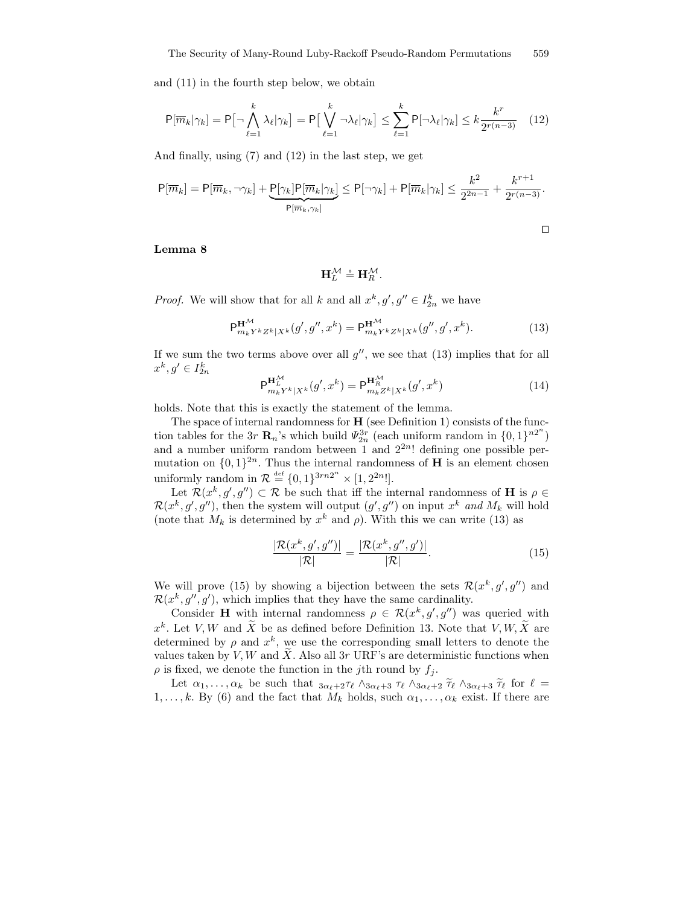and (11) in the fourth step below, we obtain

$$
\mathsf{P}[\overline{m}_k|\gamma_k] = \mathsf{P}\big[\neg \bigwedge_{\ell=1}^k \lambda_\ell |\gamma_k] = \mathsf{P}\big[\bigvee_{\ell=1}^k \neg \lambda_\ell |\gamma_k] \le \sum_{\ell=1}^k \mathsf{P}[\neg \lambda_\ell |\gamma_k] \le k \frac{k^r}{2^{r(n-3)}} \quad (12)
$$

And finally, using (7) and (12) in the last step, we get

$$
P[\overline{m}_k] = P[\overline{m}_k, \neg \gamma_k] + \underbrace{P[\gamma_k]P[\overline{m}_k|\gamma_k]}_{P[\overline{m}_k, \gamma_k]} \leq P[\neg \gamma_k] + P[\overline{m}_k|\gamma_k] \leq \frac{k^2}{2^{2n-1}} + \frac{k^{r+1}}{2^{r(n-3)}}.
$$

$$
\Box
$$

#### Lemma 8

$$
\mathbf{H}_{L}^{\mathcal{M}}\triangleq\mathbf{H}_{R}^{\mathcal{M}}.
$$

*Proof.* We will show that for all k and all  $x^k, g', g'' \in I_{2n}^k$  we have

$$
\mathsf{P}^{\mathbf{H}^{\mathcal{M}}}_{m_{k}Y^{k}Z^{k}|X^{k}}(g',g'',x^{k}) = \mathsf{P}^{\mathbf{H}^{\mathcal{M}}}_{m_{k}Y^{k}Z^{k}|X^{k}}(g'',g',x^{k}).
$$
\n(13)

If we sum the two terms above over all  $g''$ , we see that  $(13)$  implies that for all  $x^k, g' \in I_{2n}^k$ 

$$
\mathsf{P}^{\mathbf{H}^{\mathcal{M}}_{L}}_{m_{k}Y^{k}|X^{k}}(g',x^{k}) = \mathsf{P}^{\mathbf{H}^{\mathcal{M}}_{R}}_{m_{k}Z^{k}|X^{k}}(g',x^{k})
$$
(14)

holds. Note that this is exactly the statement of the lemma.

The space of internal randomness for  $H$  (see Definition 1) consists of the function tables for the 3r  $\mathbf{R}_n$ 's which build  $\Psi_{2n}^{3r}$  (each uniform random in  $\{0,1\}^{n2^n}$ ) and a number uniform random between 1 and  $2^{2n}$ ! defining one possible permutation on  $\{0,1\}^{2n}$ . Thus the internal randomness of **H** is an element chosen uniformly random in  $\mathcal{R} \stackrel{\text{def}}{=} \{0,1\}^{3rn2^n} \times [1, 2^{2n}!]$ .

Let  $\mathcal{R}(x^k, g', g'') \subset \mathcal{R}$  be such that iff the internal randomness of **H** is  $\rho \in$  $\mathcal{R}(x^k, g', g'')$ , then the system will output  $(g', g'')$  on input  $x^k$  and  $M_k$  will hold (note that  $M_k$  is determined by  $x^k$  and  $\rho$ ). With this we can write (13) as

$$
\frac{|\mathcal{R}(x^k, g', g'')|}{|\mathcal{R}|} = \frac{|\mathcal{R}(x^k, g'', g')|}{|\mathcal{R}|}.
$$
(15)

We will prove (15) by showing a bijection between the sets  $\mathcal{R}(x^k, g', g'')$  and  $\mathcal{R}(x^k, g'', g')$ , which implies that they have the same cardinality.

Consider H with internal randomness  $\rho \in \mathcal{R}(x^k, g', g'')$  was queried with  $x^k$ . Let V, W and X be as defined before Definition 13. Note that V, W, X are determined by  $\rho$  and  $x^k$ , we use the corresponding small letters to denote the values taken by V, W and  $\widetilde{X}$ . Also all 3r URF's are deterministic functions when  $\rho$  is fixed, we denote the function in the *j*th round by  $f_i$ .

Let  $\alpha_1, \ldots, \alpha_k$  be such that  $3\alpha_{\ell+2}\tau_{\ell} \wedge 3\alpha_{\ell+3} \tau_{\ell} \wedge 3\alpha_{\ell+2} \tilde{\tau}_{\ell} \wedge 3\alpha_{\ell+3} \tilde{\tau}_{\ell}$  for  $\ell =$  $1, \ldots, k$ . By (6) and the fact that  $M_k$  holds, such  $\alpha_1, \ldots, \alpha_k$  exist. If there are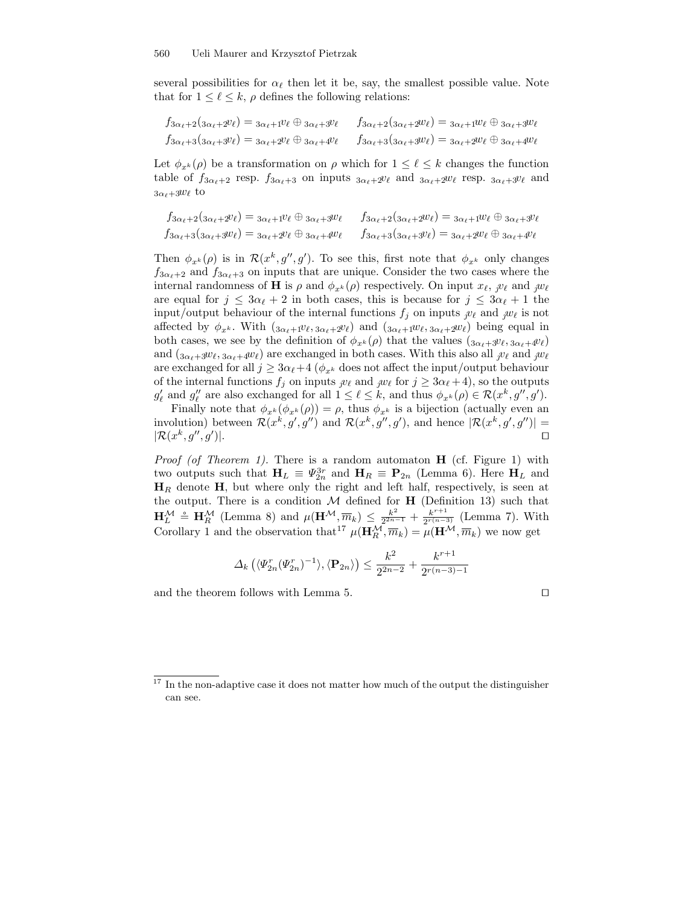several possibilities for  $\alpha_{\ell}$  then let it be, say, the smallest possible value. Note that for  $1 \leq \ell \leq k$ ,  $\rho$  defines the following relations:

$$
f_{3\alpha_{\ell}+2}(3\alpha_{\ell}+2^{\nu}\ell) = 3\alpha_{\ell}+1^{\nu}\ell \oplus 3\alpha_{\ell}+3^{\nu}\ell \qquad f_{3\alpha_{\ell}+2}(3\alpha_{\ell}+2^{\nu}\ell) = 3\alpha_{\ell}+1^{\nu}\ell \oplus 3\alpha_{\ell}+3^{\nu}\ell
$$
  

$$
f_{3\alpha_{\ell}+3}(3\alpha_{\ell}+3^{\nu}\ell) = 3\alpha_{\ell}+2^{\nu}\ell \oplus 3\alpha_{\ell}+4^{\nu}\ell \qquad f_{3\alpha_{\ell}+3}(3\alpha_{\ell}+3^{\nu}\ell) = 3\alpha_{\ell}+2^{\nu}\ell \oplus 3\alpha_{\ell}+4^{\nu}\ell
$$

Let  $\phi_{x^k}(\rho)$  be a transformation on  $\rho$  which for  $1 \leq \ell \leq k$  changes the function table of  $f_{3\alpha_{\ell}+2}$  resp.  $f_{3\alpha_{\ell}+3}$  on inputs  $3\alpha_{\ell}+2v_{\ell}$  and  $3\alpha_{\ell}+2w_{\ell}$  resp.  $3\alpha_{\ell}+3v_{\ell}$  and  $3\alpha_{\ell}+3w_{\ell}$  to

$$
f_{3\alpha_{\ell}+2}(3\alpha_{\ell}+2v_{\ell}) = 3\alpha_{\ell}+1v_{\ell} \oplus 3\alpha_{\ell}+3w_{\ell} \qquad f_{3\alpha_{\ell}+2}(3\alpha_{\ell}+2w_{\ell}) = 3\alpha_{\ell}+1w_{\ell} \oplus 3\alpha_{\ell}+3v_{\ell}
$$
  

$$
f_{3\alpha_{\ell}+3}(3\alpha_{\ell}+3w_{\ell}) = 3\alpha_{\ell}+2v_{\ell} \oplus 3\alpha_{\ell}+4w_{\ell} \qquad f_{3\alpha_{\ell}+3}(3\alpha_{\ell}+3v_{\ell}) = 3\alpha_{\ell}+2w_{\ell} \oplus 3\alpha_{\ell}+4v_{\ell}
$$

Then  $\phi_{x^k}(\rho)$  is in  $\mathcal{R}(x^k, g'', g')$ . To see this, first note that  $\phi_{x^k}$  only changes  $f_{3\alpha_{\ell}+2}$  and  $f_{3\alpha_{\ell}+3}$  on inputs that are unique. Consider the two cases where the internal randomness of **H** is  $\rho$  and  $\phi_{x^k}(\rho)$  respectively. On input  $x_\ell$ ,  $j\upsilon_\ell$  and  $j\omega_\ell$ are equal for  $j \leq 3\alpha_{\ell} + 2$  in both cases, this is because for  $j \leq 3\alpha_{\ell} + 1$  the input/output behaviour of the internal functions  $f_j$  on inputs  $j v_\ell$  and  $j w_\ell$  is not affected by  $\phi_{x^k}$ . With  $(s_{\alpha_k+1}v_{\ell}, s_{\alpha_k+2}v_{\ell})$  and  $(s_{\alpha_k+1}w_{\ell}, s_{\alpha_k+2}w_{\ell})$  being equal in both cases, we see by the definition of  $\phi_{x^k}(\rho)$  that the values  $(\mathfrak{z}_{\alpha_k+3v_\ell}, \mathfrak{z}_{\alpha_k+4v_\ell})$ and  $(s_{\alpha_\ell+3}w_\ell, s_{\alpha_\ell+4}w_\ell)$  are exchanged in both cases. With this also all  $j\upsilon_\ell$  and  $j\upsilon_\ell$ are exchanged for all  $j \geq 3\alpha_{\ell}+4$  ( $\phi_{x^k}$  does not affect the input/output behaviour of the internal functions  $f_j$  on inputs  $j \vee \ell$  and  $j \vee \ell$  for  $j \geq 3\alpha_{\ell} + 4$ ), so the outputs  $g'_\ell$  and  $g''_\ell$  are also exchanged for all  $1 \leq \ell \leq k$ , and thus  $\phi_{x^k}(\rho) \in \mathcal{R}(x^k, g'', g').$ 

Finally note that  $\phi_{x^k}(\phi_{x^k}(\rho)) = \rho$ , thus  $\phi_{x^k}$  is a bijection (actually even an involution) between  $\mathcal{R}(x^k, g', g'')$  and  $\mathcal{R}(x^k, g'', g')$ , and hence  $|\mathcal{R}(x^k, g', g'')|$  =  $\vert \mathcal{R}(x^k, g'', g') \vert$ )|.  $\Box$ 

*Proof (of Theorem 1).* There is a random automaton  $H$  (cf. Figure 1) with two outputs such that  $H_L \equiv \Psi_{2n}^{3r}$  and  $H_R \equiv \mathbf{P}_{2n}$  (Lemma 6). Here  $H_L$  and  $H_R$  denote  $H$ , but where only the right and left half, respectively, is seen at the output. There is a condition  $M$  defined for **H** (Definition 13) such that  $\mathbf{H}^{\mathcal{M}}_{L} \doteq \mathbf{H}^{\mathcal{M}}_{R}$  (Lemma 8) and  $\mu(\mathbf{H}^{\mathcal{M}}, \overline{m}_k) \leq \frac{k^2}{2^{2n}}$  $\frac{k^2}{2^{2n-1}}+\frac{k^{r+1}}{2^{r(n-r)}}$  $\frac{k^{r+1}}{2^{r(n-3)}}$  (Lemma 7). With Corollary 1 and the observation that<sup>17</sup>  $\mu(\mathbf{H}_R^{\mathcal{M}}, \overline{m}_k) = \mu(\mathbf{H}^{\mathcal{M}}, \overline{m}_k)$  we now get

$$
\Delta_k \left( \langle \varPsi_{2n}^r (\varPsi_{2n}^r)^{-1} \rangle, \langle \mathbf{P}_{2n} \rangle \right) \le \frac{k^2}{2^{2n-2}} + \frac{k^{r+1}}{2^{r(n-3)-1}}
$$

and the theorem follows with Lemma 5.  $\Box$ 

 $17$  In the non-adaptive case it does not matter how much of the output the distinguisher can see.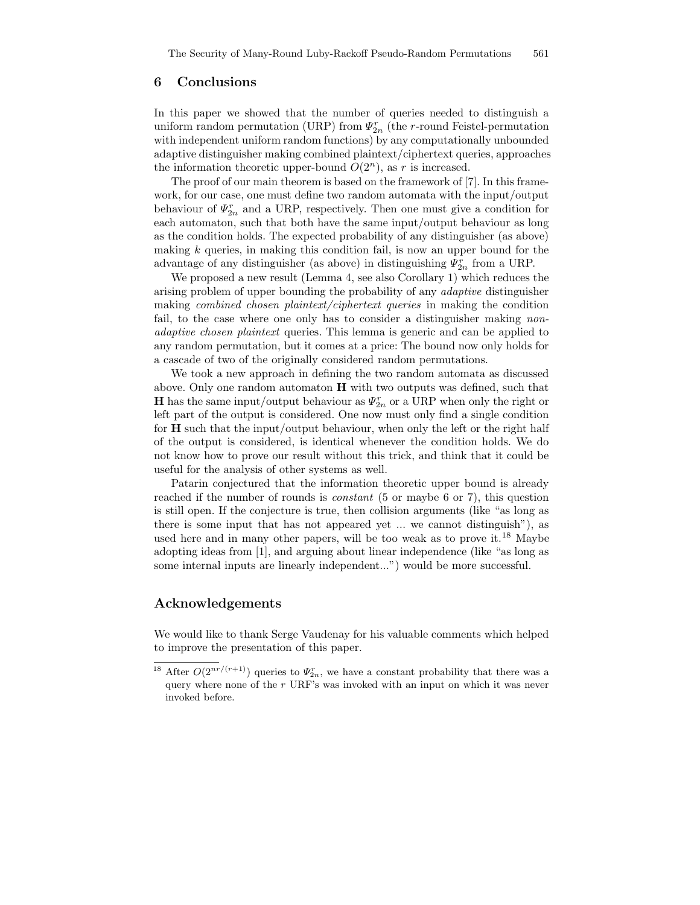# 6 Conclusions

In this paper we showed that the number of queries needed to distinguish a uniform random permutation (URP) from  $\Psi_{2n}^r$  (the r-round Feistel-permutation with independent uniform random functions) by any computationally unbounded adaptive distinguisher making combined plaintext/ciphertext queries, approaches the information theoretic upper-bound  $O(2<sup>n</sup>)$ , as r is increased.

The proof of our main theorem is based on the framework of [7]. In this framework, for our case, one must define two random automata with the input/output behaviour of  $\Psi_{2n}^r$  and a URP, respectively. Then one must give a condition for each automaton, such that both have the same input/output behaviour as long as the condition holds. The expected probability of any distinguisher (as above) making  $k$  queries, in making this condition fail, is now an upper bound for the advantage of any distinguisher (as above) in distinguishing  $\Psi_{2n}^r$  from a URP.

We proposed a new result (Lemma 4, see also Corollary 1) which reduces the arising problem of upper bounding the probability of any adaptive distinguisher making *combined chosen plaintext/ciphertext queries* in making the condition fail, to the case where one only has to consider a distinguisher making nonadaptive chosen plaintext queries. This lemma is generic and can be applied to any random permutation, but it comes at a price: The bound now only holds for a cascade of two of the originally considered random permutations.

We took a new approach in defining the two random automata as discussed above. Only one random automaton H with two outputs was defined, such that **H** has the same input/output behaviour as  $\Psi_{2n}^r$  or a URP when only the right or left part of the output is considered. One now must only find a single condition for H such that the input/output behaviour, when only the left or the right half of the output is considered, is identical whenever the condition holds. We do not know how to prove our result without this trick, and think that it could be useful for the analysis of other systems as well.

Patarin conjectured that the information theoretic upper bound is already reached if the number of rounds is *constant* (5 or maybe 6 or 7), this question is still open. If the conjecture is true, then collision arguments (like "as long as there is some input that has not appeared yet ... we cannot distinguish"), as used here and in many other papers, will be too weak as to prove it.<sup>18</sup> Maybe adopting ideas from [1], and arguing about linear independence (like "as long as some internal inputs are linearly independent...") would be more successful.

# Acknowledgements

We would like to thank Serge Vaudenay for his valuable comments which helped to improve the presentation of this paper.

<sup>&</sup>lt;sup>18</sup> After  $O(2^{nr/(r+1)})$  queries to  $\Psi_{2n}^r$ , we have a constant probability that there was a query where none of the  $r$  URF's was invoked with an input on which it was never invoked before.